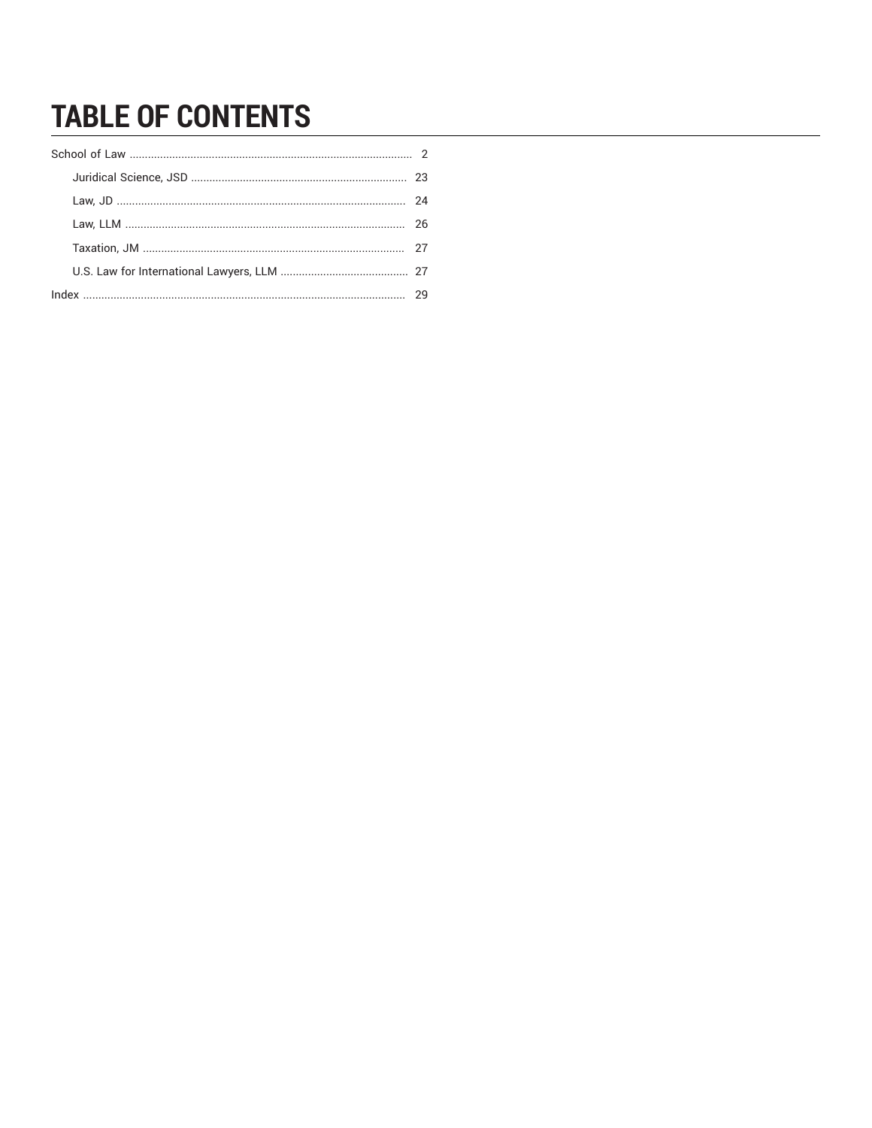# **TABLE OF CONTENTS**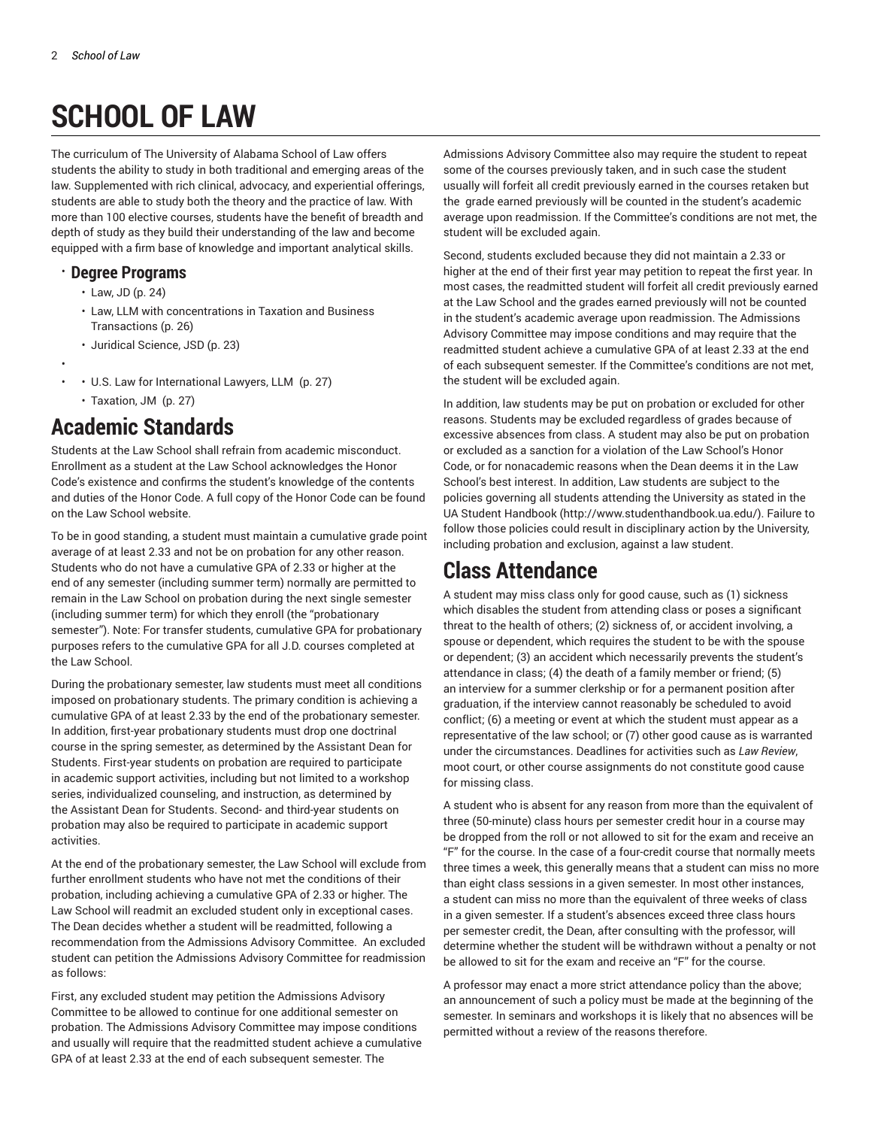# **SCHOOL OF LAW**

<span id="page-1-0"></span>The curriculum of The University of Alabama School of Law offers students the ability to study in both traditional and emerging areas of the law. Supplemented with rich clinical, advocacy, and experiential offerings, students are able to study both the theory and the practice of law. With more than 100 elective courses, students have the benefit of breadth and depth of study as they build their understanding of the law and become equipped with a firm base of knowledge and important analytical skills.

# • **Degree Programs**

- [Law,](#page-23-0) JD [\(p. 24\)](#page-23-0)
- Law, LLM with [concentrations](#page-25-0) in Taxation and Business [Transactions](#page-25-0) ([p. 26](#page-25-0))
- [Juridical Science, JSD \(p. 23\)](#page-22-0)
- • • U.S. Law for [International](#page-26-1) Lawyers, LLM ([p. 27](#page-26-1))
	- [Taxation,](#page-26-0) JM ([p. 27](#page-26-0))

# **Academic Standards**

Students at the Law School shall refrain from academic misconduct. Enrollment as a student at the Law School acknowledges the Honor Code's existence and confirms the student's knowledge of the contents and duties of the Honor Code. A full copy of the Honor Code can be found on the Law School website.

To be in good standing, a student must maintain a cumulative grade point average of at least 2.33 and not be on probation for any other reason. Students who do not have a cumulative GPA of 2.33 or higher at the end of any semester (including summer term) normally are permitted to remain in the Law School on probation during the next single semester (including summer term) for which they enroll (the "probationary semester"). Note: For transfer students, cumulative GPA for probationary purposes refers to the cumulative GPA for all J.D. courses completed at the Law School.

During the probationary semester, law students must meet all conditions imposed on probationary students. The primary condition is achieving a cumulative GPA of at least 2.33 by the end of the probationary semester. In addition, first-year probationary students must drop one doctrinal course in the spring semester, as determined by the Assistant Dean for Students. First-year students on probation are required to participate in academic support activities, including but not limited to a workshop series, individualized counseling, and instruction, as determined by the Assistant Dean for Students. Second- and third-year students on probation may also be required to participate in academic support activities.

At the end of the probationary semester, the Law School will exclude from further enrollment students who have not met the conditions of their probation, including achieving a cumulative GPA of 2.33 or higher. The Law School will readmit an excluded student only in exceptional cases. The Dean decides whether a student will be readmitted, following a recommendation from the Admissions Advisory Committee. An excluded student can petition the Admissions Advisory Committee for readmission as follows:

First, any excluded student may petition the Admissions Advisory Committee to be allowed to continue for one additional semester on probation. The Admissions Advisory Committee may impose conditions and usually will require that the readmitted student achieve a cumulative GPA of at least 2.33 at the end of each subsequent semester. The

Admissions Advisory Committee also may require the student to repeat some of the courses previously taken, and in such case the student usually will forfeit all credit previously earned in the courses retaken but the grade earned previously will be counted in the student's academic average upon readmission. If the Committee's conditions are not met, the student will be excluded again.

Second, students excluded because they did not maintain a 2.33 or higher at the end of their first year may petition to repeat the first year. In most cases, the readmitted student will forfeit all credit previously earned at the Law School and the grades earned previously will not be counted in the student's academic average upon readmission. The Admissions Advisory Committee may impose conditions and may require that the readmitted student achieve a cumulative GPA of at least 2.33 at the end of each subsequent semester. If the Committee's conditions are not met, the student will be excluded again.

In addition, law students may be put on probation or excluded for other reasons. Students may be excluded regardless of grades because of excessive absences from class. A student may also be put on probation or excluded as a sanction for a violation of the Law School's Honor Code, or for nonacademic reasons when the Dean deems it in the Law School's best interest. In addition, Law students are subject to the policies governing all students attending the University as stated in the UA Student Handbook ([http://www.studenthandbook.ua.edu/\)](http://www.studenthandbook.ua.edu/). Failure to follow those policies could result in disciplinary action by the University, including probation and exclusion, against a law student.

# **Class Attendance**

A student may miss class only for good cause, such as (1) sickness which disables the student from attending class or poses a significant threat to the health of others; (2) sickness of, or accident involving, a spouse or dependent, which requires the student to be with the spouse or dependent; (3) an accident which necessarily prevents the student's attendance in class; (4) the death of a family member or friend; (5) an interview for a summer clerkship or for a permanent position after graduation, if the interview cannot reasonably be scheduled to avoid conflict; (6) a meeting or event at which the student must appear as a representative of the law school; or (7) other good cause as is warranted under the circumstances. Deadlines for activities such as *Law Review*, moot court, or other course assignments do not constitute good cause for missing class.

A student who is absent for any reason from more than the equivalent of three (50-minute) class hours per semester credit hour in a course may be dropped from the roll or not allowed to sit for the exam and receive an "F" for the course. In the case of a four-credit course that normally meets three times a week, this generally means that a student can miss no more than eight class sessions in a given semester. In most other instances, a student can miss no more than the equivalent of three weeks of class in a given semester. If a student's absences exceed three class hours per semester credit, the Dean, after consulting with the professor, will determine whether the student will be withdrawn without a penalty or not be allowed to sit for the exam and receive an "F" for the course.

A professor may enact a more strict attendance policy than the above; an announcement of such a policy must be made at the beginning of the semester. In seminars and workshops it is likely that no absences will be permitted without a review of the reasons therefore.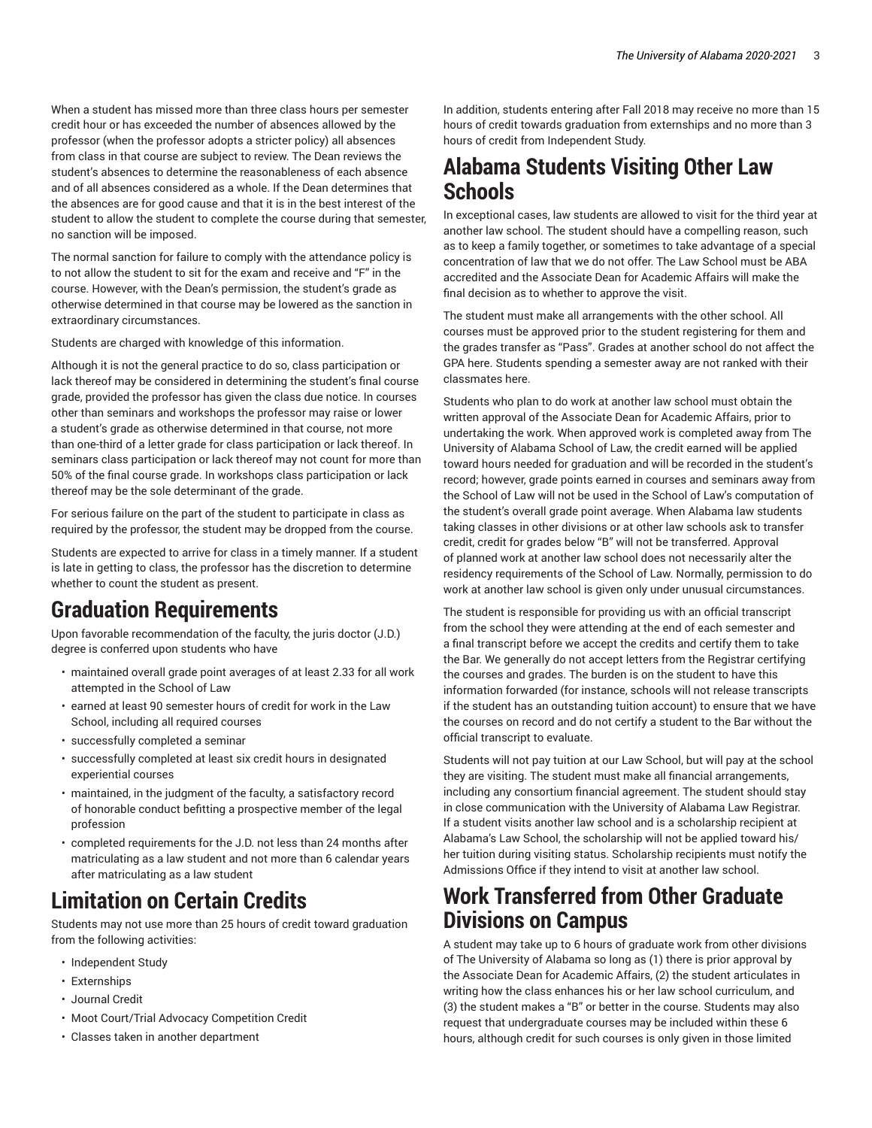When a student has missed more than three class hours per semester credit hour or has exceeded the number of absences allowed by the professor (when the professor adopts a stricter policy) all absences from class in that course are subject to review. The Dean reviews the student's absences to determine the reasonableness of each absence and of all absences considered as a whole. If the Dean determines that the absences are for good cause and that it is in the best interest of the student to allow the student to complete the course during that semester, no sanction will be imposed.

The normal sanction for failure to comply with the attendance policy is to not allow the student to sit for the exam and receive and "F" in the course. However, with the Dean's permission, the student's grade as otherwise determined in that course may be lowered as the sanction in extraordinary circumstances.

Students are charged with knowledge of this information.

Although it is not the general practice to do so, class participation or lack thereof may be considered in determining the student's final course grade, provided the professor has given the class due notice. In courses other than seminars and workshops the professor may raise or lower a student's grade as otherwise determined in that course, not more than one-third of a letter grade for class participation or lack thereof. In seminars class participation or lack thereof may not count for more than 50% of the final course grade. In workshops class participation or lack thereof may be the sole determinant of the grade.

For serious failure on the part of the student to participate in class as required by the professor, the student may be dropped from the course.

Students are expected to arrive for class in a timely manner. If a student is late in getting to class, the professor has the discretion to determine whether to count the student as present.

# **Graduation Requirements**

Upon favorable recommendation of the faculty, the juris doctor (J.D.) degree is conferred upon students who have

- maintained overall grade point averages of at least 2.33 for all work attempted in the School of Law
- earned at least 90 semester hours of credit for work in the Law School, including all required courses
- successfully completed a seminar
- successfully completed at least six credit hours in designated experiential courses
- maintained, in the judgment of the faculty, a satisfactory record of honorable conduct befitting a prospective member of the legal profession
- completed requirements for the J.D. not less than 24 months after matriculating as a law student and not more than 6 calendar years after matriculating as a law student

# **Limitation on Certain Credits**

Students may not use more than 25 hours of credit toward graduation from the following activities:

- Independent Study
- Externships
- Journal Credit
- Moot Court/Trial Advocacy Competition Credit
- Classes taken in another department

In addition, students entering after Fall 2018 may receive no more than 15 hours of credit towards graduation from externships and no more than 3 hours of credit from Independent Study.

# **Alabama Students Visiting Other Law Schools**

In exceptional cases, law students are allowed to visit for the third year at another law school. The student should have a compelling reason, such as to keep a family together, or sometimes to take advantage of a special concentration of law that we do not offer. The Law School must be ABA accredited and the Associate Dean for Academic Affairs will make the final decision as to whether to approve the visit.

The student must make all arrangements with the other school. All courses must be approved prior to the student registering for them and the grades transfer as "Pass". Grades at another school do not affect the GPA here. Students spending a semester away are not ranked with their classmates here.

Students who plan to do work at another law school must obtain the written approval of the Associate Dean for Academic Affairs, prior to undertaking the work. When approved work is completed away from The University of Alabama School of Law, the credit earned will be applied toward hours needed for graduation and will be recorded in the student's record; however, grade points earned in courses and seminars away from the School of Law will not be used in the School of Law's computation of the student's overall grade point average. When Alabama law students taking classes in other divisions or at other law schools ask to transfer credit, credit for grades below "B" will not be transferred. Approval of planned work at another law school does not necessarily alter the residency requirements of the School of Law. Normally, permission to do work at another law school is given only under unusual circumstances.

The student is responsible for providing us with an official transcript from the school they were attending at the end of each semester and a final transcript before we accept the credits and certify them to take the Bar. We generally do not accept letters from the Registrar certifying the courses and grades. The burden is on the student to have this information forwarded (for instance, schools will not release transcripts if the student has an outstanding tuition account) to ensure that we have the courses on record and do not certify a student to the Bar without the official transcript to evaluate.

Students will not pay tuition at our Law School, but will pay at the school they are visiting. The student must make all financial arrangements, including any consortium financial agreement. The student should stay in close communication with the University of Alabama Law Registrar. If a student visits another law school and is a scholarship recipient at Alabama's Law School, the scholarship will not be applied toward his/ her tuition during visiting status. Scholarship recipients must notify the Admissions Office if they intend to visit at another law school.

# **Work Transferred from Other Graduate Divisions on Campus**

A student may take up to 6 hours of graduate work from other divisions of The University of Alabama so long as (1) there is prior approval by the Associate Dean for Academic Affairs, (2) the student articulates in writing how the class enhances his or her law school curriculum, and (3) the student makes a "B" or better in the course. Students may also request that undergraduate courses may be included within these 6 hours, although credit for such courses is only given in those limited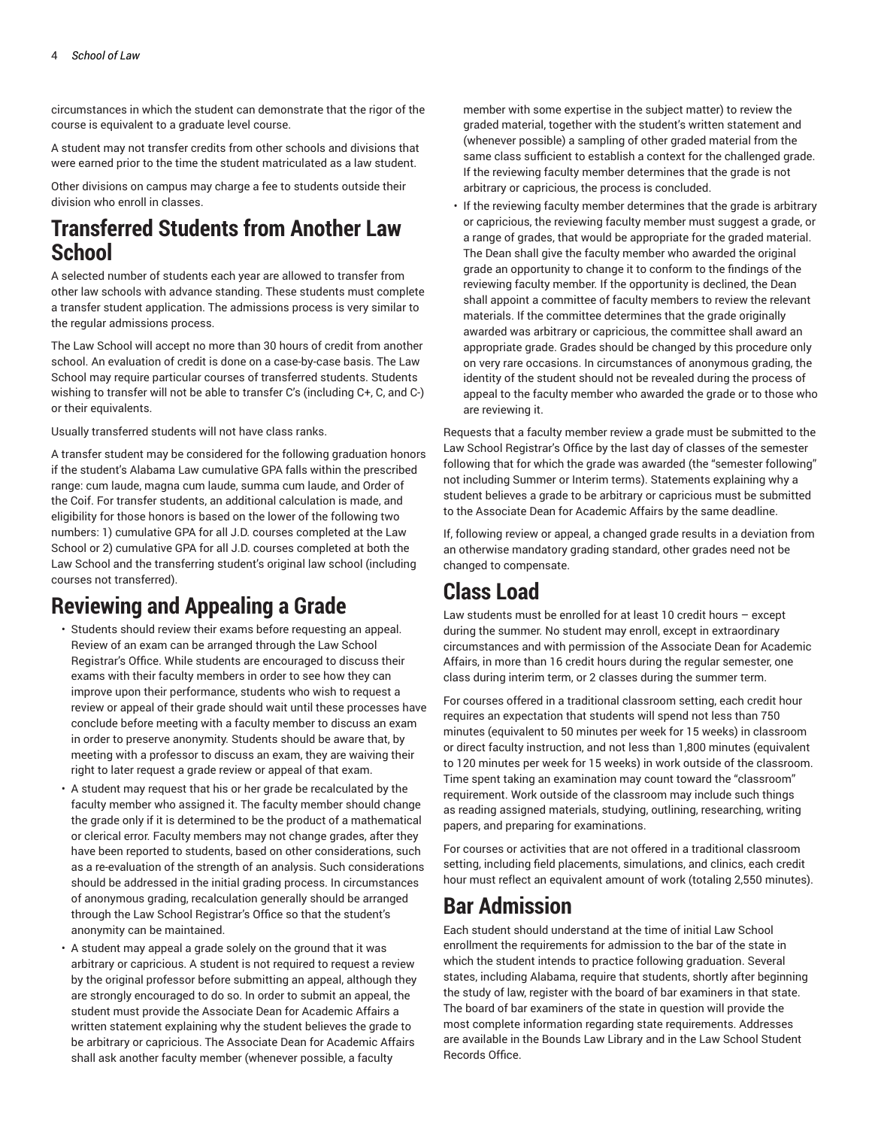circumstances in which the student can demonstrate that the rigor of the course is equivalent to a graduate level course.

A student may not transfer credits from other schools and divisions that were earned prior to the time the student matriculated as a law student.

Other divisions on campus may charge a fee to students outside their division who enroll in classes.

# **Transferred Students from Another Law School**

A selected number of students each year are allowed to transfer from other law schools with advance standing. These students must complete a transfer student application. The admissions process is very similar to the regular admissions process.

The Law School will accept no more than 30 hours of credit from another school. An evaluation of credit is done on a case-by-case basis. The Law School may require particular courses of transferred students. Students wishing to transfer will not be able to transfer C's (including C+, C, and C-) or their equivalents.

Usually transferred students will not have class ranks.

A transfer student may be considered for the following graduation honors if the student's Alabama Law cumulative GPA falls within the prescribed range: cum laude, magna cum laude, summa cum laude, and Order of the Coif. For transfer students, an additional calculation is made, and eligibility for those honors is based on the lower of the following two numbers: 1) cumulative GPA for all J.D. courses completed at the Law School or 2) cumulative GPA for all J.D. courses completed at both the Law School and the transferring student's original law school (including courses not transferred).

# **Reviewing and Appealing a Grade**

- Students should review their exams before requesting an appeal. Review of an exam can be arranged through the Law School Registrar's Office. While students are encouraged to discuss their exams with their faculty members in order to see how they can improve upon their performance, students who wish to request a review or appeal of their grade should wait until these processes have conclude before meeting with a faculty member to discuss an exam in order to preserve anonymity. Students should be aware that, by meeting with a professor to discuss an exam, they are waiving their right to later request a grade review or appeal of that exam.
- A student may request that his or her grade be recalculated by the faculty member who assigned it. The faculty member should change the grade only if it is determined to be the product of a mathematical or clerical error. Faculty members may not change grades, after they have been reported to students, based on other considerations, such as a re-evaluation of the strength of an analysis. Such considerations should be addressed in the initial grading process. In circumstances of anonymous grading, recalculation generally should be arranged through the Law School Registrar's Office so that the student's anonymity can be maintained.
- A student may appeal a grade solely on the ground that it was arbitrary or capricious. A student is not required to request a review by the original professor before submitting an appeal, although they are strongly encouraged to do so. In order to submit an appeal, the student must provide the Associate Dean for Academic Affairs a written statement explaining why the student believes the grade to be arbitrary or capricious. The Associate Dean for Academic Affairs shall ask another faculty member (whenever possible, a faculty

member with some expertise in the subject matter) to review the graded material, together with the student's written statement and (whenever possible) a sampling of other graded material from the same class sufficient to establish a context for the challenged grade. If the reviewing faculty member determines that the grade is not arbitrary or capricious, the process is concluded.

• If the reviewing faculty member determines that the grade is arbitrary or capricious, the reviewing faculty member must suggest a grade, or a range of grades, that would be appropriate for the graded material. The Dean shall give the faculty member who awarded the original grade an opportunity to change it to conform to the findings of the reviewing faculty member. If the opportunity is declined, the Dean shall appoint a committee of faculty members to review the relevant materials. If the committee determines that the grade originally awarded was arbitrary or capricious, the committee shall award an appropriate grade. Grades should be changed by this procedure only on very rare occasions. In circumstances of anonymous grading, the identity of the student should not be revealed during the process of appeal to the faculty member who awarded the grade or to those who are reviewing it.

Requests that a faculty member review a grade must be submitted to the Law School Registrar's Office by the last day of classes of the semester following that for which the grade was awarded (the "semester following" not including Summer or Interim terms). Statements explaining why a student believes a grade to be arbitrary or capricious must be submitted to the Associate Dean for Academic Affairs by the same deadline.

If, following review or appeal, a changed grade results in a deviation from an otherwise mandatory grading standard, other grades need not be changed to compensate.

# **Class Load**

Law students must be enrolled for at least 10 credit hours – except during the summer. No student may enroll, except in extraordinary circumstances and with permission of the Associate Dean for Academic Affairs, in more than 16 credit hours during the regular semester, one class during interim term, or 2 classes during the summer term.

For courses offered in a traditional classroom setting, each credit hour requires an expectation that students will spend not less than 750 minutes (equivalent to 50 minutes per week for 15 weeks) in classroom or direct faculty instruction, and not less than 1,800 minutes (equivalent to 120 minutes per week for 15 weeks) in work outside of the classroom. Time spent taking an examination may count toward the "classroom" requirement. Work outside of the classroom may include such things as reading assigned materials, studying, outlining, researching, writing papers, and preparing for examinations.

For courses or activities that are not offered in a traditional classroom setting, including field placements, simulations, and clinics, each credit hour must reflect an equivalent amount of work (totaling 2,550 minutes).

# **Bar Admission**

Each student should understand at the time of initial Law School enrollment the requirements for admission to the bar of the state in which the student intends to practice following graduation. Several states, including Alabama, require that students, shortly after beginning the study of law, register with the board of bar examiners in that state. The board of bar examiners of the state in question will provide the most complete information regarding state requirements. Addresses are available in the Bounds Law Library and in the Law School Student Records Office.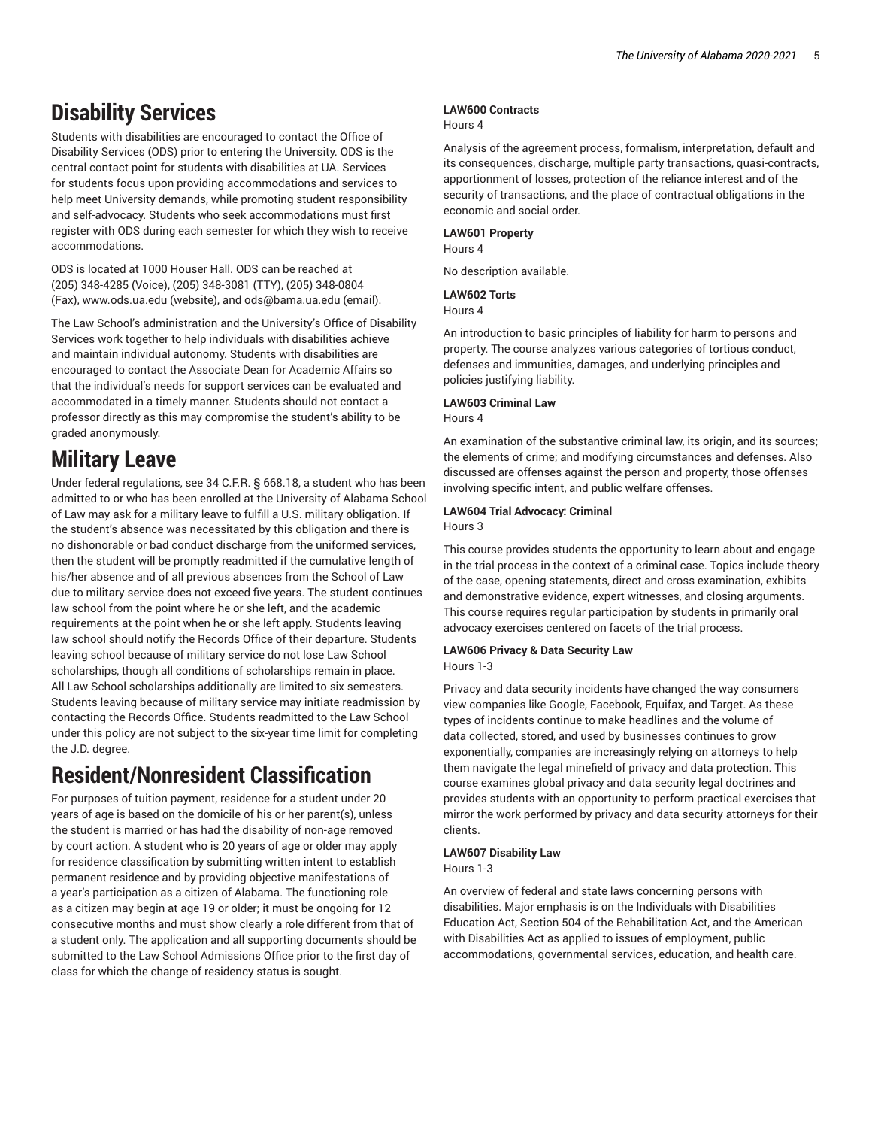# **Disability Services**

Students with disabilities are encouraged to contact the Office of Disability Services (ODS) prior to entering the University. ODS is the central contact point for students with disabilities at UA. Services for students focus upon providing accommodations and services to help meet University demands, while promoting student responsibility and self-advocacy. Students who seek accommodations must first register with ODS during each semester for which they wish to receive accommodations.

ODS is located at 1000 Houser Hall. ODS can be reached at (205) 348-4285 (Voice), (205) 348-3081 (TTY), (205) 348-0804 (Fax), [www.ods.ua.edu](http://www.ods.ua.edu/) (website), and [ods@bama.ua.edu](mailto:ods@bama.ua.edu) (email).

The Law School's administration and the University's Office of Disability Services work together to help individuals with disabilities achieve and maintain individual autonomy. Students with disabilities are encouraged to contact the Associate Dean for Academic Affairs so that the individual's needs for support services can be evaluated and accommodated in a timely manner. Students should not contact a professor directly as this may compromise the student's ability to be graded anonymously.

# **Military Leave**

Under federal regulations, see 34 C.F.R. § 668.18, a student who has been admitted to or who has been enrolled at the University of Alabama School of Law may ask for a military leave to fulfill a U.S. military obligation. If the student's absence was necessitated by this obligation and there is no dishonorable or bad conduct discharge from the uniformed services, then the student will be promptly readmitted if the cumulative length of his/her absence and of all previous absences from the School of Law due to military service does not exceed five years. The student continues law school from the point where he or she left, and the academic requirements at the point when he or she left apply. Students leaving law school should notify the Records Office of their departure. Students leaving school because of military service do not lose Law School scholarships, though all conditions of scholarships remain in place. All Law School scholarships additionally are limited to six semesters. Students leaving because of military service may initiate readmission by contacting the Records Office. Students readmitted to the Law School under this policy are not subject to the six-year time limit for completing the J.D. degree.

# **Resident/Nonresident Classification**

For purposes of tuition payment, residence for a student under 20 years of age is based on the domicile of his or her parent(s), unless the student is married or has had the disability of non-age removed by court action. A student who is 20 years of age or older may apply for residence classification by submitting written intent to establish permanent residence and by providing objective manifestations of a year's participation as a citizen of Alabama. The functioning role as a citizen may begin at age 19 or older; it must be ongoing for 12 consecutive months and must show clearly a role different from that of a student only. The application and all supporting documents should be submitted to the Law School Admissions Office prior to the first day of class for which the change of residency status is sought.

# **LAW600 Contracts**

# Hours 4

Analysis of the agreement process, formalism, interpretation, default and its consequences, discharge, multiple party transactions, quasi-contracts, apportionment of losses, protection of the reliance interest and of the security of transactions, and the place of contractual obligations in the economic and social order.

# **LAW601 Property**

Hours 4

No description available.

# **LAW602 Torts**

Hours 4

An introduction to basic principles of liability for harm to persons and property. The course analyzes various categories of tortious conduct, defenses and immunities, damages, and underlying principles and policies justifying liability.

## **LAW603 Criminal Law**

## Hours 4

An examination of the substantive criminal law, its origin, and its sources; the elements of crime; and modifying circumstances and defenses. Also discussed are offenses against the person and property, those offenses involving specific intent, and public welfare offenses.

# **LAW604 Trial Advocacy: Criminal**

Hours 3

This course provides students the opportunity to learn about and engage in the trial process in the context of a criminal case. Topics include theory of the case, opening statements, direct and cross examination, exhibits and demonstrative evidence, expert witnesses, and closing arguments. This course requires regular participation by students in primarily oral advocacy exercises centered on facets of the trial process.

# **LAW606 Privacy & Data Security Law**

Hours 1-3

Privacy and data security incidents have changed the way consumers view companies like Google, Facebook, Equifax, and Target. As these types of incidents continue to make headlines and the volume of data collected, stored, and used by businesses continues to grow exponentially, companies are increasingly relying on attorneys to help them navigate the legal minefield of privacy and data protection. This course examines global privacy and data security legal doctrines and provides students with an opportunity to perform practical exercises that mirror the work performed by privacy and data security attorneys for their clients.

# **LAW607 Disability Law**

Hours 1-3

An overview of federal and state laws concerning persons with disabilities. Major emphasis is on the Individuals with Disabilities Education Act, Section 504 of the Rehabilitation Act, and the American with Disabilities Act as applied to issues of employment, public accommodations, governmental services, education, and health care.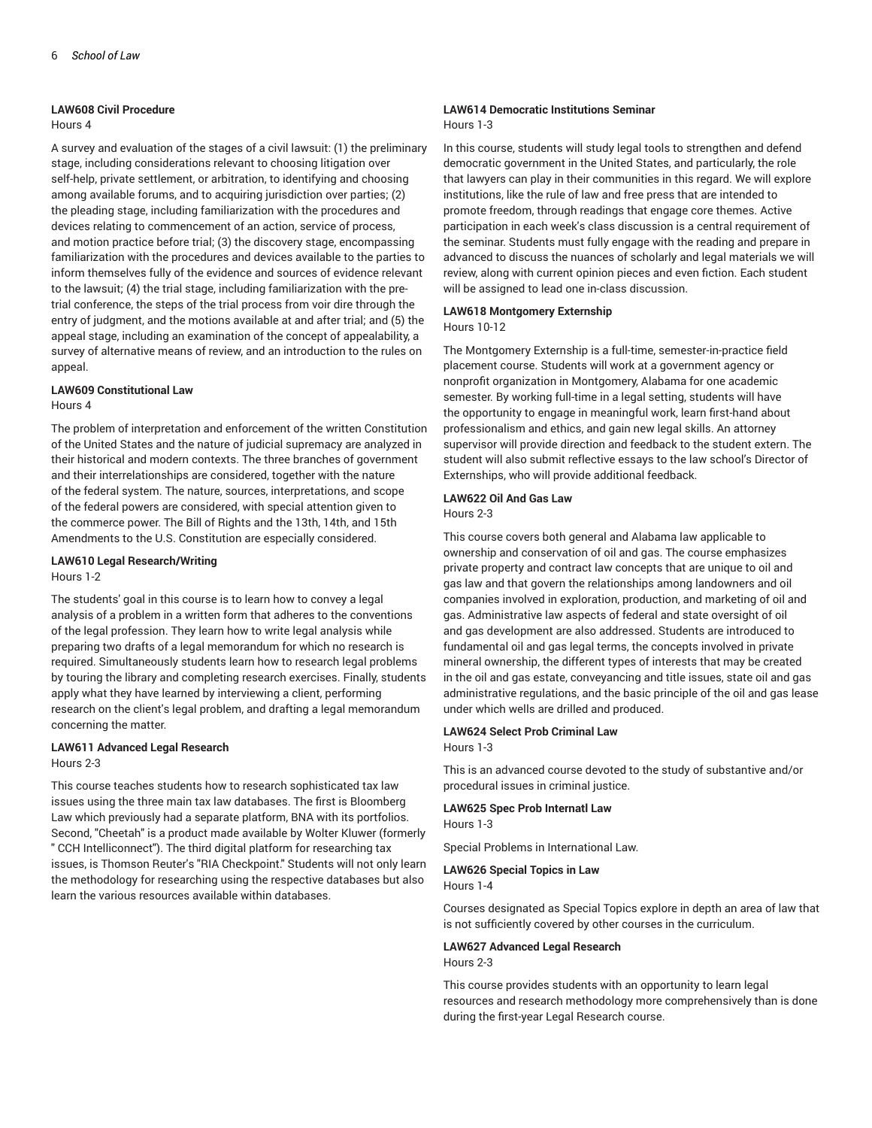## **LAW608 Civil Procedure**

#### Hours 4

A survey and evaluation of the stages of a civil lawsuit: (1) the preliminary stage, including considerations relevant to choosing litigation over self-help, private settlement, or arbitration, to identifying and choosing among available forums, and to acquiring jurisdiction over parties; (2) the pleading stage, including familiarization with the procedures and devices relating to commencement of an action, service of process, and motion practice before trial; (3) the discovery stage, encompassing familiarization with the procedures and devices available to the parties to inform themselves fully of the evidence and sources of evidence relevant to the lawsuit; (4) the trial stage, including familiarization with the pretrial conference, the steps of the trial process from voir dire through the entry of judgment, and the motions available at and after trial; and (5) the appeal stage, including an examination of the concept of appealability, a survey of alternative means of review, and an introduction to the rules on appeal.

# **LAW609 Constitutional Law**

## Hours 4

The problem of interpretation and enforcement of the written Constitution of the United States and the nature of judicial supremacy are analyzed in their historical and modern contexts. The three branches of government and their interrelationships are considered, together with the nature of the federal system. The nature, sources, interpretations, and scope of the federal powers are considered, with special attention given to the commerce power. The Bill of Rights and the 13th, 14th, and 15th Amendments to the U.S. Constitution are especially considered.

# **LAW610 Legal Research/Writing**

Hours 1-2

The students' goal in this course is to learn how to convey a legal analysis of a problem in a written form that adheres to the conventions of the legal profession. They learn how to write legal analysis while preparing two drafts of a legal memorandum for which no research is required. Simultaneously students learn how to research legal problems by touring the library and completing research exercises. Finally, students apply what they have learned by interviewing a client, performing research on the client's legal problem, and drafting a legal memorandum concerning the matter.

# **LAW611 Advanced Legal Research** Hours 2-3

This course teaches students how to research sophisticated tax law issues using the three main tax law databases. The first is Bloomberg Law which previously had a separate platform, BNA with its portfolios. Second, "Cheetah" is a product made available by Wolter Kluwer (formerly " CCH Intelliconnect"). The third digital platform for researching tax issues, is Thomson Reuter's "RIA Checkpoint." Students will not only learn the methodology for researching using the respective databases but also learn the various resources available within databases.

# **LAW614 Democratic Institutions Seminar**

## Hours 1-3

In this course, students will study legal tools to strengthen and defend democratic government in the United States, and particularly, the role that lawyers can play in their communities in this regard. We will explore institutions, like the rule of law and free press that are intended to promote freedom, through readings that engage core themes. Active participation in each week's class discussion is a central requirement of the seminar. Students must fully engage with the reading and prepare in advanced to discuss the nuances of scholarly and legal materials we will review, along with current opinion pieces and even fiction. Each student will be assigned to lead one in-class discussion.

# **LAW618 Montgomery Externship**

Hours 10-12

The Montgomery Externship is a full-time, semester-in-practice field placement course. Students will work at a government agency or nonprofit organization in Montgomery, Alabama for one academic semester. By working full-time in a legal setting, students will have the opportunity to engage in meaningful work, learn first-hand about professionalism and ethics, and gain new legal skills. An attorney supervisor will provide direction and feedback to the student extern. The student will also submit reflective essays to the law school's Director of Externships, who will provide additional feedback.

# **LAW622 Oil And Gas Law**

Hours 2-3

This course covers both general and Alabama law applicable to ownership and conservation of oil and gas. The course emphasizes private property and contract law concepts that are unique to oil and gas law and that govern the relationships among landowners and oil companies involved in exploration, production, and marketing of oil and gas. Administrative law aspects of federal and state oversight of oil and gas development are also addressed. Students are introduced to fundamental oil and gas legal terms, the concepts involved in private mineral ownership, the different types of interests that may be created in the oil and gas estate, conveyancing and title issues, state oil and gas administrative regulations, and the basic principle of the oil and gas lease under which wells are drilled and produced.

# **LAW624 Select Prob Criminal Law**

Hours 1-3

This is an advanced course devoted to the study of substantive and/or procedural issues in criminal justice.

## **LAW625 Spec Prob Internatl Law**

Hours 1-3

Special Problems in International Law.

# **LAW626 Special Topics in Law**

Hours 1-4

Courses designated as Special Topics explore in depth an area of law that is not sufficiently covered by other courses in the curriculum.

# **LAW627 Advanced Legal Research**

Hours 2-3

This course provides students with an opportunity to learn legal resources and research methodology more comprehensively than is done during the first-year Legal Research course.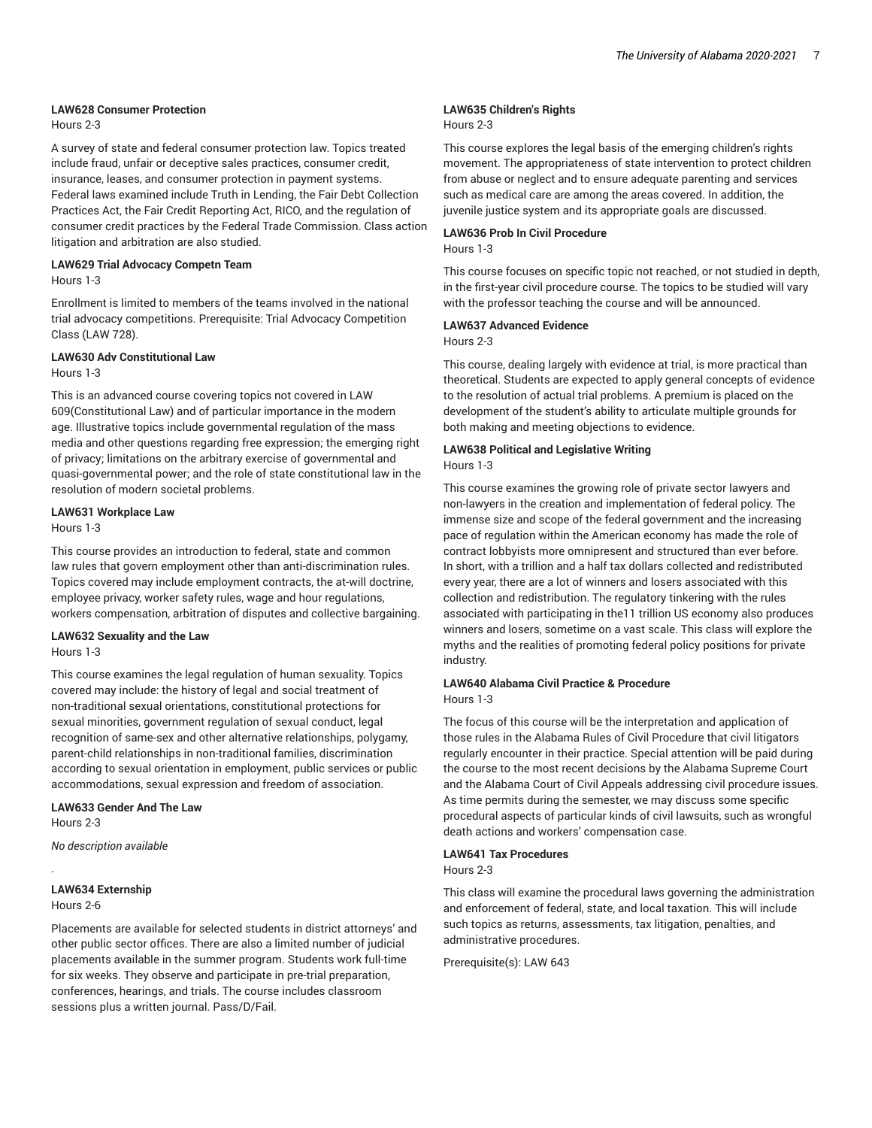#### **LAW628 Consumer Protection**

Hours 2-3

A survey of state and federal consumer protection law. Topics treated include fraud, unfair or deceptive sales practices, consumer credit, insurance, leases, and consumer protection in payment systems. Federal laws examined include Truth in Lending, the Fair Debt Collection Practices Act, the Fair Credit Reporting Act, RICO, and the regulation of consumer credit practices by the Federal Trade Commission. Class action litigation and arbitration are also studied.

#### **LAW629 Trial Advocacy Competn Team** Hours 1-3

Enrollment is limited to members of the teams involved in the national trial advocacy competitions. Prerequisite: Trial Advocacy Competition Class (LAW 728).

# **LAW630 Adv Constitutional Law**

Hours 1-3

This is an advanced course covering topics not covered in LAW 609(Constitutional Law) and of particular importance in the modern age. Illustrative topics include governmental regulation of the mass media and other questions regarding free expression; the emerging right of privacy; limitations on the arbitrary exercise of governmental and quasi-governmental power; and the role of state constitutional law in the resolution of modern societal problems.

# **LAW631 Workplace Law**

Hours 1-3

This course provides an introduction to federal, state and common law rules that govern employment other than anti-discrimination rules. Topics covered may include employment contracts, the at-will doctrine, employee privacy, worker safety rules, wage and hour regulations, workers compensation, arbitration of disputes and collective bargaining.

#### **LAW632 Sexuality and the Law** Hours 1-3

This course examines the legal regulation of human sexuality. Topics covered may include: the history of legal and social treatment of non-traditional sexual orientations, constitutional protections for sexual minorities, government regulation of sexual conduct, legal recognition of same-sex and other alternative relationships, polygamy, parent-child relationships in non-traditional families, discrimination according to sexual orientation in employment, public services or public accommodations, sexual expression and freedom of association.

**LAW633 Gender And The Law**

Hours 2-3

*No description available*

## **LAW634 Externship**

Hours 2-6

.

Placements are available for selected students in district attorneys' and other public sector offices. There are also a limited number of judicial placements available in the summer program. Students work full-time for six weeks. They observe and participate in pre-trial preparation, conferences, hearings, and trials. The course includes classroom sessions plus a written journal. Pass/D/Fail.

# **LAW635 Children's Rights**

### Hours 2-3

This course explores the legal basis of the emerging children's rights movement. The appropriateness of state intervention to protect children from abuse or neglect and to ensure adequate parenting and services such as medical care are among the areas covered. In addition, the juvenile justice system and its appropriate goals are discussed.

#### **LAW636 Prob In Civil Procedure** Hours 1-3

This course focuses on specific topic not reached, or not studied in depth, in the first-year civil procedure course. The topics to be studied will vary with the professor teaching the course and will be announced.

#### **LAW637 Advanced Evidence** Hours 2-3

This course, dealing largely with evidence at trial, is more practical than theoretical. Students are expected to apply general concepts of evidence to the resolution of actual trial problems. A premium is placed on the development of the student's ability to articulate multiple grounds for both making and meeting objections to evidence.

## **LAW638 Political and Legislative Writing** Hours 1-3

This course examines the growing role of private sector lawyers and non-lawyers in the creation and implementation of federal policy. The immense size and scope of the federal government and the increasing pace of regulation within the American economy has made the role of contract lobbyists more omnipresent and structured than ever before. In short, with a trillion and a half tax dollars collected and redistributed every year, there are a lot of winners and losers associated with this collection and redistribution. The regulatory tinkering with the rules associated with participating in the11 trillion US economy also produces winners and losers, sometime on a vast scale. This class will explore the myths and the realities of promoting federal policy positions for private industry.

#### **LAW640 Alabama Civil Practice & Procedure** Hours 1-3

The focus of this course will be the interpretation and application of those rules in the Alabama Rules of Civil Procedure that civil litigators regularly encounter in their practice. Special attention will be paid during the course to the most recent decisions by the Alabama Supreme Court and the Alabama Court of Civil Appeals addressing civil procedure issues. As time permits during the semester, we may discuss some specific procedural aspects of particular kinds of civil lawsuits, such as wrongful death actions and workers' compensation case.

# **LAW641 Tax Procedures**

Hours 2-3

This class will examine the procedural laws governing the administration and enforcement of federal, state, and local taxation. This will include such topics as returns, assessments, tax litigation, penalties, and administrative procedures.

Prerequisite(s): LAW 643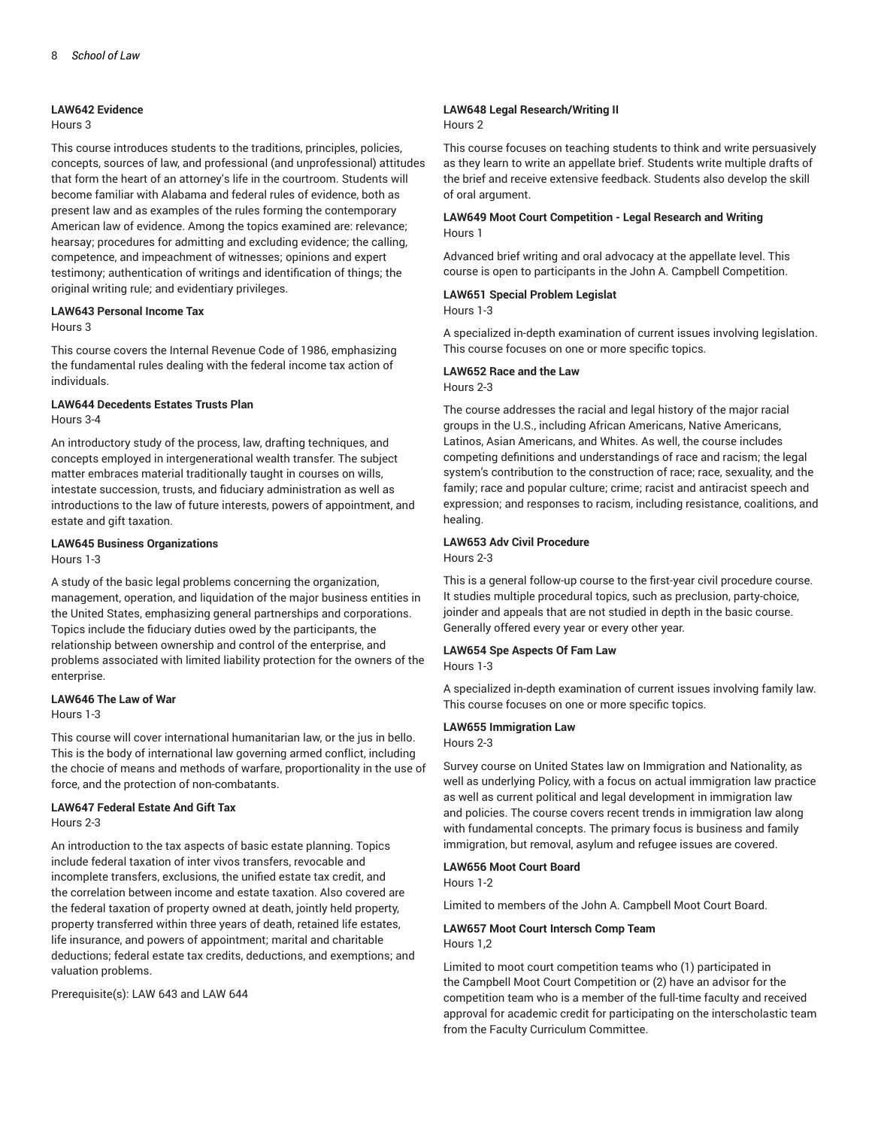### **LAW642 Evidence**

## Hours 3

This course introduces students to the traditions, principles, policies, concepts, sources of law, and professional (and unprofessional) attitudes that form the heart of an attorney's life in the courtroom. Students will become familiar with Alabama and federal rules of evidence, both as present law and as examples of the rules forming the contemporary American law of evidence. Among the topics examined are: relevance; hearsay; procedures for admitting and excluding evidence; the calling, competence, and impeachment of witnesses; opinions and expert testimony; authentication of writings and identification of things; the original writing rule; and evidentiary privileges.

# **LAW643 Personal Income Tax**

#### Hours 3

This course covers the Internal Revenue Code of 1986, emphasizing the fundamental rules dealing with the federal income tax action of individuals.

## **LAW644 Decedents Estates Trusts Plan** Hours 3-4

An introductory study of the process, law, drafting techniques, and concepts employed in intergenerational wealth transfer. The subject matter embraces material traditionally taught in courses on wills, intestate succession, trusts, and fiduciary administration as well as introductions to the law of future interests, powers of appointment, and estate and gift taxation.

## **LAW645 Business Organizations**

Hours 1-3

A study of the basic legal problems concerning the organization, management, operation, and liquidation of the major business entities in the United States, emphasizing general partnerships and corporations. Topics include the fiduciary duties owed by the participants, the relationship between ownership and control of the enterprise, and problems associated with limited liability protection for the owners of the enterprise.

## **LAW646 The Law of War**

Hours 1-3

This course will cover international humanitarian law, or the jus in bello. This is the body of international law governing armed conflict, including the chocie of means and methods of warfare, proportionality in the use of force, and the protection of non-combatants.

## **LAW647 Federal Estate And Gift Tax**

Hours 2-3

An introduction to the tax aspects of basic estate planning. Topics include federal taxation of inter vivos transfers, revocable and incomplete transfers, exclusions, the unified estate tax credit, and the correlation between income and estate taxation. Also covered are the federal taxation of property owned at death, jointly held property, property transferred within three years of death, retained life estates, life insurance, and powers of appointment; marital and charitable deductions; federal estate tax credits, deductions, and exemptions; and valuation problems.

Prerequisite(s): LAW 643 and LAW 644

# **LAW648 Legal Research/Writing II**

#### Hours 2

This course focuses on teaching students to think and write persuasively as they learn to write an appellate brief. Students write multiple drafts of the brief and receive extensive feedback. Students also develop the skill of oral argument.

# **LAW649 Moot Court Competition - Legal Research and Writing** Hours 1

Advanced brief writing and oral advocacy at the appellate level. This course is open to participants in the John A. Campbell Competition.

## **LAW651 Special Problem Legislat**

Hours 1-3

A specialized in-depth examination of current issues involving legislation. This course focuses on one or more specific topics.

#### **LAW652 Race and the Law**

#### Hours 2-3

The course addresses the racial and legal history of the major racial groups in the U.S., including African Americans, Native Americans, Latinos, Asian Americans, and Whites. As well, the course includes competing definitions and understandings of race and racism; the legal system's contribution to the construction of race; race, sexuality, and the family; race and popular culture; crime; racist and antiracist speech and expression; and responses to racism, including resistance, coalitions, and healing.

#### **LAW653 Adv Civil Procedure** Hours 2-3

This is a general follow-up course to the first-year civil procedure course. It studies multiple procedural topics, such as preclusion, party-choice, joinder and appeals that are not studied in depth in the basic course. Generally offered every year or every other year.

# **LAW654 Spe Aspects Of Fam Law**

Hours 1-3

A specialized in-depth examination of current issues involving family law. This course focuses on one or more specific topics.

# **LAW655 Immigration Law**

Hours 2-3

Survey course on United States law on Immigration and Nationality, as well as underlying Policy, with a focus on actual immigration law practice as well as current political and legal development in immigration law and policies. The course covers recent trends in immigration law along with fundamental concepts. The primary focus is business and family immigration, but removal, asylum and refugee issues are covered.

# **LAW656 Moot Court Board**

Hours 1-2

Limited to members of the John A. Campbell Moot Court Board.

#### **LAW657 Moot Court Intersch Comp Team** Hours 1,2

Limited to moot court competition teams who (1) participated in the Campbell Moot Court Competition or (2) have an advisor for the competition team who is a member of the full-time faculty and received approval for academic credit for participating on the interscholastic team from the Faculty Curriculum Committee.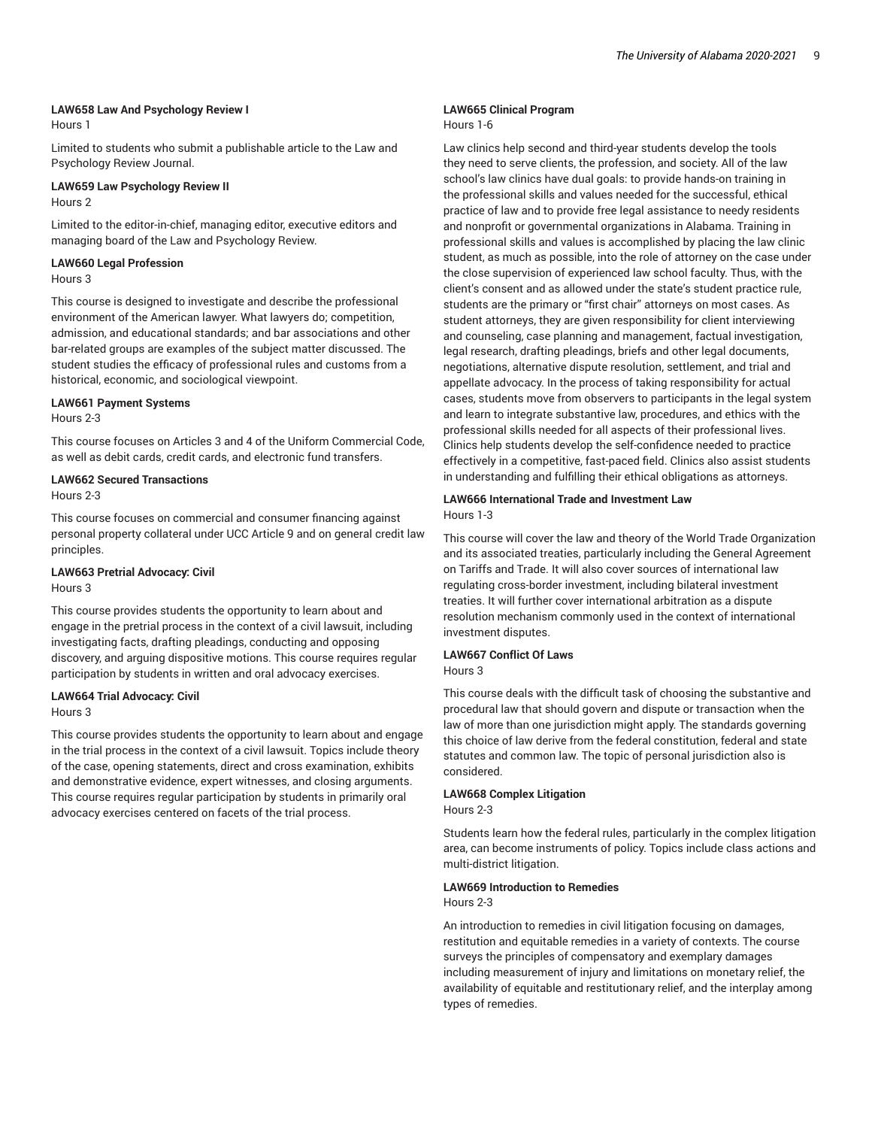#### **LAW658 Law And Psychology Review I**

Hours 1

Limited to students who submit a publishable article to the Law and Psychology Review Journal.

# **LAW659 Law Psychology Review II**

Hours 2

Limited to the editor-in-chief, managing editor, executive editors and managing board of the Law and Psychology Review.

# **LAW660 Legal Profession**

#### Hours 3

This course is designed to investigate and describe the professional environment of the American lawyer. What lawyers do; competition, admission, and educational standards; and bar associations and other bar-related groups are examples of the subject matter discussed. The student studies the efficacy of professional rules and customs from a historical, economic, and sociological viewpoint.

#### **LAW661 Payment Systems**

#### Hours 2-3

This course focuses on Articles 3 and 4 of the Uniform Commercial Code, as well as debit cards, credit cards, and electronic fund transfers.

## **LAW662 Secured Transactions**

Hours 2-3

This course focuses on commercial and consumer financing against personal property collateral under UCC Article 9 and on general credit law principles.

# **LAW663 Pretrial Advocacy: Civil**

Hours 3

This course provides students the opportunity to learn about and engage in the pretrial process in the context of a civil lawsuit, including investigating facts, drafting pleadings, conducting and opposing discovery, and arguing dispositive motions. This course requires regular participation by students in written and oral advocacy exercises.

# **LAW664 Trial Advocacy: Civil**

Hours 3

This course provides students the opportunity to learn about and engage in the trial process in the context of a civil lawsuit. Topics include theory of the case, opening statements, direct and cross examination, exhibits and demonstrative evidence, expert witnesses, and closing arguments. This course requires regular participation by students in primarily oral advocacy exercises centered on facets of the trial process.

# **LAW665 Clinical Program**

## Hours 1-6

Law clinics help second and third-year students develop the tools they need to serve clients, the profession, and society. All of the law school's law clinics have dual goals: to provide hands-on training in the professional skills and values needed for the successful, ethical practice of law and to provide free legal assistance to needy residents and nonprofit or governmental organizations in Alabama. Training in professional skills and values is accomplished by placing the law clinic student, as much as possible, into the role of attorney on the case under the close supervision of experienced law school faculty. Thus, with the client's consent and as allowed under the state's student practice rule, students are the primary or "first chair" attorneys on most cases. As student attorneys, they are given responsibility for client interviewing and counseling, case planning and management, factual investigation, legal research, drafting pleadings, briefs and other legal documents, negotiations, alternative dispute resolution, settlement, and trial and appellate advocacy. In the process of taking responsibility for actual cases, students move from observers to participants in the legal system and learn to integrate substantive law, procedures, and ethics with the professional skills needed for all aspects of their professional lives. Clinics help students develop the self-confidence needed to practice effectively in a competitive, fast-paced field. Clinics also assist students in understanding and fulfilling their ethical obligations as attorneys.

## **LAW666 International Trade and Investment Law** Hours 1-3

This course will cover the law and theory of the World Trade Organization and its associated treaties, particularly including the General Agreement on Tariffs and Trade. It will also cover sources of international law regulating cross-border investment, including bilateral investment treaties. It will further cover international arbitration as a dispute resolution mechanism commonly used in the context of international investment disputes.

# **LAW667 Conflict Of Laws**

Hours 3

This course deals with the difficult task of choosing the substantive and procedural law that should govern and dispute or transaction when the law of more than one jurisdiction might apply. The standards governing this choice of law derive from the federal constitution, federal and state statutes and common law. The topic of personal jurisdiction also is considered.

## **LAW668 Complex Litigation**

Hours 2-3

Students learn how the federal rules, particularly in the complex litigation area, can become instruments of policy. Topics include class actions and multi-district litigation.

## **LAW669 Introduction to Remedies**

Hours 2-3

An introduction to remedies in civil litigation focusing on damages, restitution and equitable remedies in a variety of contexts. The course surveys the principles of compensatory and exemplary damages including measurement of injury and limitations on monetary relief, the availability of equitable and restitutionary relief, and the interplay among types of remedies.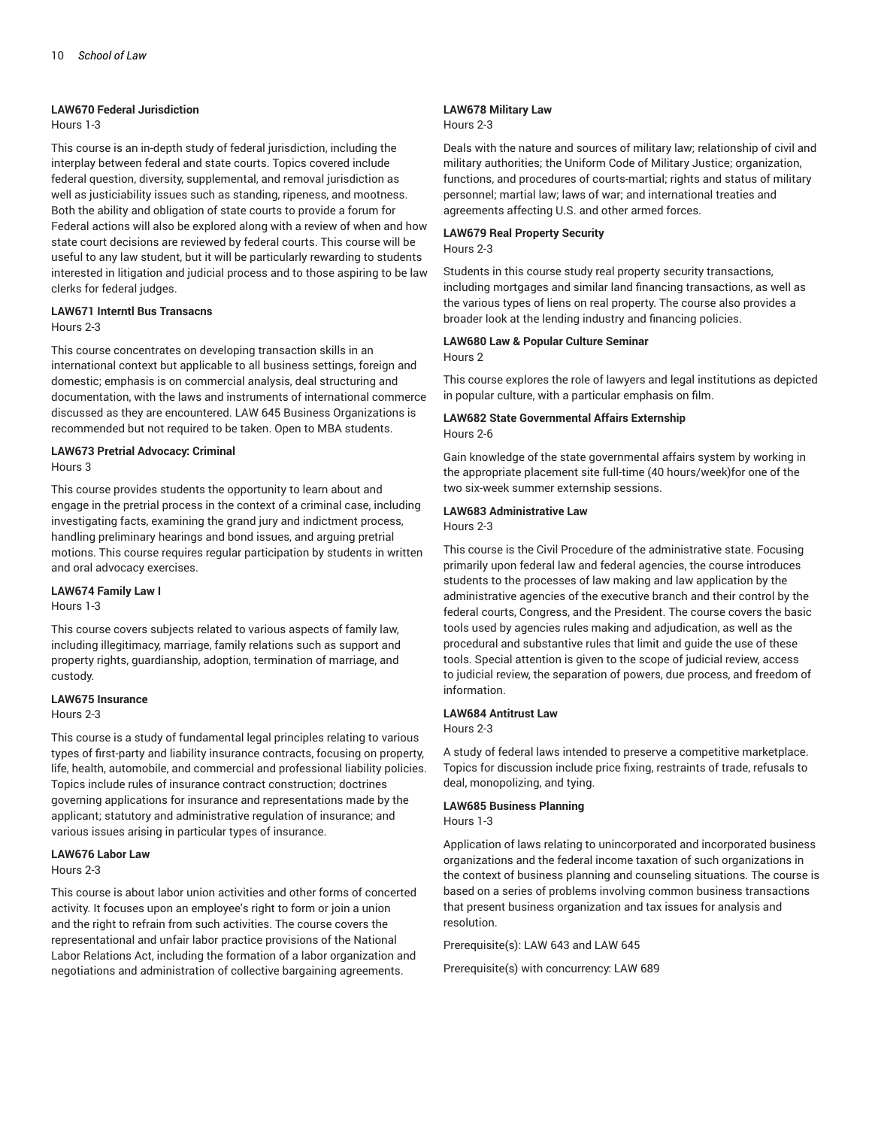#### **LAW670 Federal Jurisdiction**

# Hours 1-3

This course is an in-depth study of federal jurisdiction, including the interplay between federal and state courts. Topics covered include federal question, diversity, supplemental, and removal jurisdiction as well as justiciability issues such as standing, ripeness, and mootness. Both the ability and obligation of state courts to provide a forum for Federal actions will also be explored along with a review of when and how state court decisions are reviewed by federal courts. This course will be useful to any law student, but it will be particularly rewarding to students interested in litigation and judicial process and to those aspiring to be law clerks for federal judges.

# **LAW671 Interntl Bus Transacns**

#### Hours 2-3

This course concentrates on developing transaction skills in an international context but applicable to all business settings, foreign and domestic; emphasis is on commercial analysis, deal structuring and documentation, with the laws and instruments of international commerce discussed as they are encountered. LAW 645 Business Organizations is recommended but not required to be taken. Open to MBA students.

# **LAW673 Pretrial Advocacy: Criminal**

## Hours 3

This course provides students the opportunity to learn about and engage in the pretrial process in the context of a criminal case, including investigating facts, examining the grand jury and indictment process, handling preliminary hearings and bond issues, and arguing pretrial motions. This course requires regular participation by students in written and oral advocacy exercises.

#### **LAW674 Family Law I**

#### Hours 1-3

This course covers subjects related to various aspects of family law, including illegitimacy, marriage, family relations such as support and property rights, guardianship, adoption, termination of marriage, and custody.

#### **LAW675 Insurance**

#### Hours 2-3

This course is a study of fundamental legal principles relating to various types of first-party and liability insurance contracts, focusing on property, life, health, automobile, and commercial and professional liability policies. Topics include rules of insurance contract construction; doctrines governing applications for insurance and representations made by the applicant; statutory and administrative regulation of insurance; and various issues arising in particular types of insurance.

#### **LAW676 Labor Law**

Hours 2-3

This course is about labor union activities and other forms of concerted activity. It focuses upon an employee's right to form or join a union and the right to refrain from such activities. The course covers the representational and unfair labor practice provisions of the National Labor Relations Act, including the formation of a labor organization and negotiations and administration of collective bargaining agreements.

# **LAW678 Military Law**

#### Hours 2-3

Deals with the nature and sources of military law; relationship of civil and military authorities; the Uniform Code of Military Justice; organization, functions, and procedures of courts-martial; rights and status of military personnel; martial law; laws of war; and international treaties and agreements affecting U.S. and other armed forces.

#### **LAW679 Real Property Security** Hours 2-3

Students in this course study real property security transactions, including mortgages and similar land financing transactions, as well as the various types of liens on real property. The course also provides a broader look at the lending industry and financing policies.

#### **LAW680 Law & Popular Culture Seminar** Hours 2

This course explores the role of lawyers and legal institutions as depicted

# in popular culture, with a particular emphasis on film. **LAW682 State Governmental Affairs Externship**

Hours 2-6

Gain knowledge of the state governmental affairs system by working in the appropriate placement site full-time (40 hours/week)for one of the two six-week summer externship sessions.

#### **LAW683 Administrative Law**

Hours 2-3

This course is the Civil Procedure of the administrative state. Focusing primarily upon federal law and federal agencies, the course introduces students to the processes of law making and law application by the administrative agencies of the executive branch and their control by the federal courts, Congress, and the President. The course covers the basic tools used by agencies rules making and adjudication, as well as the procedural and substantive rules that limit and guide the use of these tools. Special attention is given to the scope of judicial review, access to judicial review, the separation of powers, due process, and freedom of information.

# **LAW684 Antitrust Law**

Hours 2-3

A study of federal laws intended to preserve a competitive marketplace. Topics for discussion include price fixing, restraints of trade, refusals to deal, monopolizing, and tying.

# **LAW685 Business Planning**

Hours 1-3

Application of laws relating to unincorporated and incorporated business organizations and the federal income taxation of such organizations in the context of business planning and counseling situations. The course is based on a series of problems involving common business transactions that present business organization and tax issues for analysis and resolution.

Prerequisite(s): LAW 643 and LAW 645

Prerequisite(s) with concurrency: LAW 689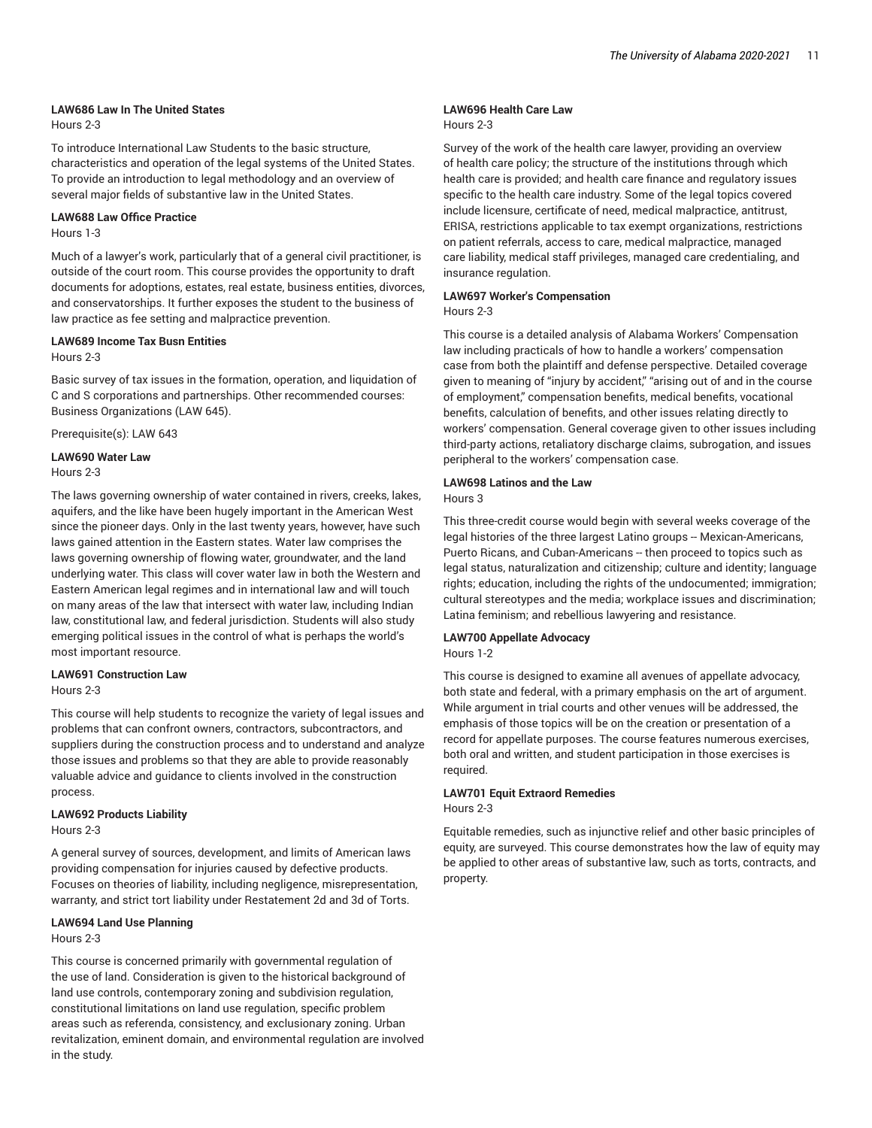## **LAW686 Law In The United States**

Hours 2-3

To introduce International Law Students to the basic structure, characteristics and operation of the legal systems of the United States. To provide an introduction to legal methodology and an overview of several major fields of substantive law in the United States.

#### **LAW688 Law Office Practice**

# Hours 1-3

Much of a lawyer's work, particularly that of a general civil practitioner, is outside of the court room. This course provides the opportunity to draft documents for adoptions, estates, real estate, business entities, divorces, and conservatorships. It further exposes the student to the business of law practice as fee setting and malpractice prevention.

#### **LAW689 Income Tax Busn Entities**

Hours 2-3

Basic survey of tax issues in the formation, operation, and liquidation of C and S corporations and partnerships. Other recommended courses: Business Organizations (LAW 645).

Prerequisite(s): LAW 643

# **LAW690 Water Law**

Hours 2-3

The laws governing ownership of water contained in rivers, creeks, lakes, aquifers, and the like have been hugely important in the American West since the pioneer days. Only in the last twenty years, however, have such laws gained attention in the Eastern states. Water law comprises the laws governing ownership of flowing water, groundwater, and the land underlying water. This class will cover water law in both the Western and Eastern American legal regimes and in international law and will touch on many areas of the law that intersect with water law, including Indian law, constitutional law, and federal jurisdiction. Students will also study emerging political issues in the control of what is perhaps the world's most important resource.

# **LAW691 Construction Law**

Hours 2-3

This course will help students to recognize the variety of legal issues and problems that can confront owners, contractors, subcontractors, and suppliers during the construction process and to understand and analyze those issues and problems so that they are able to provide reasonably valuable advice and guidance to clients involved in the construction process.

#### **LAW692 Products Liability**

Hours 2-3

A general survey of sources, development, and limits of American laws providing compensation for injuries caused by defective products. Focuses on theories of liability, including negligence, misrepresentation, warranty, and strict tort liability under Restatement 2d and 3d of Torts.

#### **LAW694 Land Use Planning**

Hours 2-3

This course is concerned primarily with governmental regulation of the use of land. Consideration is given to the historical background of land use controls, contemporary zoning and subdivision regulation, constitutional limitations on land use regulation, specific problem areas such as referenda, consistency, and exclusionary zoning. Urban revitalization, eminent domain, and environmental regulation are involved in the study.

# **LAW696 Health Care Law**

#### Hours 2-3

Survey of the work of the health care lawyer, providing an overview of health care policy; the structure of the institutions through which health care is provided; and health care finance and regulatory issues specific to the health care industry. Some of the legal topics covered include licensure, certificate of need, medical malpractice, antitrust, ERISA, restrictions applicable to tax exempt organizations, restrictions on patient referrals, access to care, medical malpractice, managed care liability, medical staff privileges, managed care credentialing, and insurance regulation.

## **LAW697 Worker's Compensation**

### Hours 2-3

This course is a detailed analysis of Alabama Workers' Compensation law including practicals of how to handle a workers' compensation case from both the plaintiff and defense perspective. Detailed coverage given to meaning of "injury by accident," "arising out of and in the course of employment," compensation benefits, medical benefits, vocational benefits, calculation of benefits, and other issues relating directly to workers' compensation. General coverage given to other issues including third-party actions, retaliatory discharge claims, subrogation, and issues peripheral to the workers' compensation case.

#### **LAW698 Latinos and the Law**

Hours 3

This three-credit course would begin with several weeks coverage of the legal histories of the three largest Latino groups -- Mexican-Americans, Puerto Ricans, and Cuban-Americans -- then proceed to topics such as legal status, naturalization and citizenship; culture and identity; language rights; education, including the rights of the undocumented; immigration; cultural stereotypes and the media; workplace issues and discrimination; Latina feminism; and rebellious lawyering and resistance.

# **LAW700 Appellate Advocacy**

Hours 1-2

This course is designed to examine all avenues of appellate advocacy, both state and federal, with a primary emphasis on the art of argument. While argument in trial courts and other venues will be addressed, the emphasis of those topics will be on the creation or presentation of a record for appellate purposes. The course features numerous exercises, both oral and written, and student participation in those exercises is required.

#### **LAW701 Equit Extraord Remedies**

Hours 2-3

Equitable remedies, such as injunctive relief and other basic principles of equity, are surveyed. This course demonstrates how the law of equity may be applied to other areas of substantive law, such as torts, contracts, and property.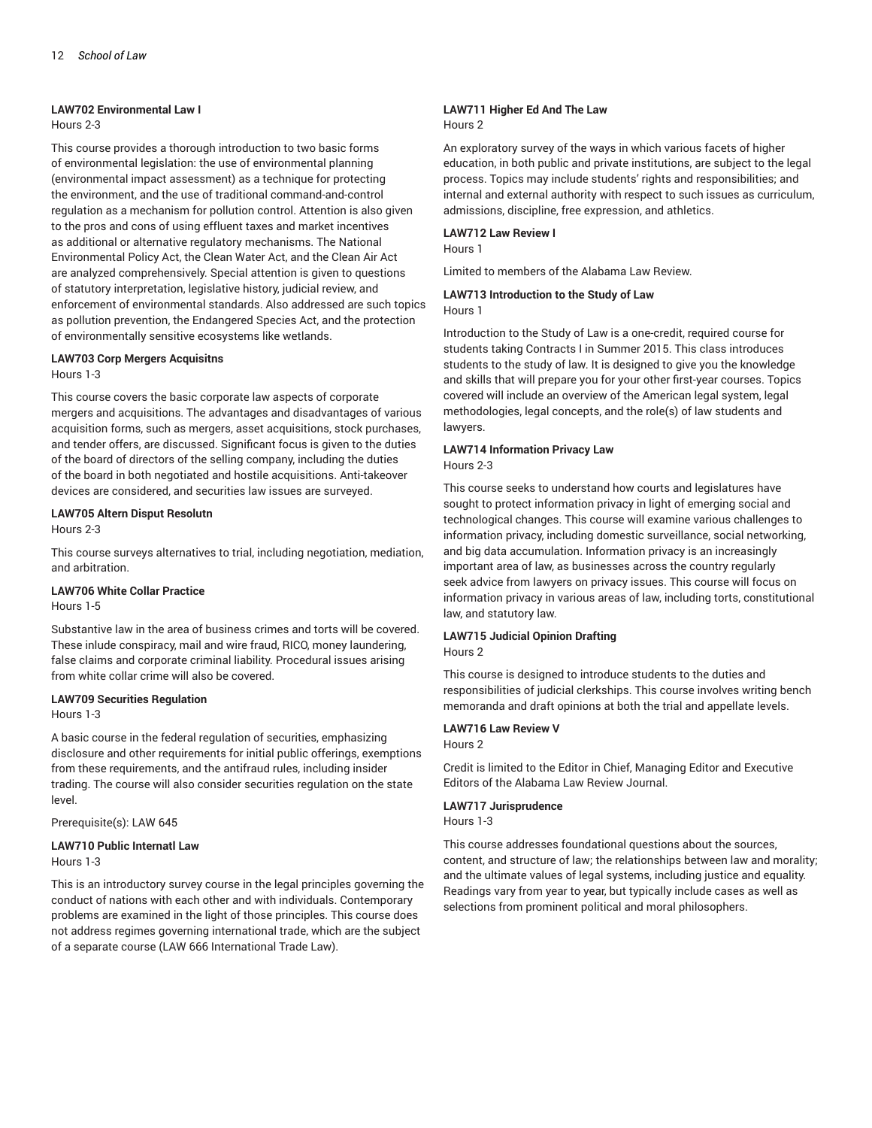#### **LAW702 Environmental Law I**

# Hours 2-3

This course provides a thorough introduction to two basic forms of environmental legislation: the use of environmental planning (environmental impact assessment) as a technique for protecting the environment, and the use of traditional command-and-control regulation as a mechanism for pollution control. Attention is also given to the pros and cons of using effluent taxes and market incentives as additional or alternative regulatory mechanisms. The National Environmental Policy Act, the Clean Water Act, and the Clean Air Act are analyzed comprehensively. Special attention is given to questions of statutory interpretation, legislative history, judicial review, and enforcement of environmental standards. Also addressed are such topics as pollution prevention, the Endangered Species Act, and the protection of environmentally sensitive ecosystems like wetlands.

#### **LAW703 Corp Mergers Acquisitns**

## Hours 1-3

This course covers the basic corporate law aspects of corporate mergers and acquisitions. The advantages and disadvantages of various acquisition forms, such as mergers, asset acquisitions, stock purchases, and tender offers, are discussed. Significant focus is given to the duties of the board of directors of the selling company, including the duties of the board in both negotiated and hostile acquisitions. Anti-takeover devices are considered, and securities law issues are surveyed.

# **LAW705 Altern Disput Resolutn**

Hours 2-3

This course surveys alternatives to trial, including negotiation, mediation, and arbitration.

## **LAW706 White Collar Practice**

## Hours 1-5

Substantive law in the area of business crimes and torts will be covered. These inlude conspiracy, mail and wire fraud, RICO, money laundering, false claims and corporate criminal liability. Procedural issues arising from white collar crime will also be covered.

#### **LAW709 Securities Regulation**

Hours 1-3

A basic course in the federal regulation of securities, emphasizing disclosure and other requirements for initial public offerings, exemptions from these requirements, and the antifraud rules, including insider trading. The course will also consider securities regulation on the state level.

Prerequisite(s): LAW 645

#### **LAW710 Public Internatl Law** Hours 1-3

This is an introductory survey course in the legal principles governing the conduct of nations with each other and with individuals. Contemporary problems are examined in the light of those principles. This course does not address regimes governing international trade, which are the subject

of a separate course (LAW 666 International Trade Law).

# **LAW711 Higher Ed And The Law** Hours 2

An exploratory survey of the ways in which various facets of higher education, in both public and private institutions, are subject to the legal process. Topics may include students' rights and responsibilities; and internal and external authority with respect to such issues as curriculum, admissions, discipline, free expression, and athletics.

## **LAW712 Law Review I**

Hours 1

Limited to members of the Alabama Law Review.

#### **LAW713 Introduction to the Study of Law** Hours 1

Introduction to the Study of Law is a one-credit, required course for students taking Contracts I in Summer 2015. This class introduces students to the study of law. It is designed to give you the knowledge and skills that will prepare you for your other first-year courses. Topics covered will include an overview of the American legal system, legal methodologies, legal concepts, and the role(s) of law students and lawyers.

#### **LAW714 Information Privacy Law** Hours 2-3

This course seeks to understand how courts and legislatures have sought to protect information privacy in light of emerging social and technological changes. This course will examine various challenges to information privacy, including domestic surveillance, social networking, and big data accumulation. Information privacy is an increasingly important area of law, as businesses across the country regularly seek advice from lawyers on privacy issues. This course will focus on information privacy in various areas of law, including torts, constitutional law, and statutory law.

#### **LAW715 Judicial Opinion Drafting** Hours 2

This course is designed to introduce students to the duties and responsibilities of judicial clerkships. This course involves writing bench memoranda and draft opinions at both the trial and appellate levels.

# **LAW716 Law Review V**

Hours 2

Credit is limited to the Editor in Chief, Managing Editor and Executive Editors of the Alabama Law Review Journal.

## **LAW717 Jurisprudence**

Hours 1-3

This course addresses foundational questions about the sources, content, and structure of law; the relationships between law and morality; and the ultimate values of legal systems, including justice and equality. Readings vary from year to year, but typically include cases as well as selections from prominent political and moral philosophers.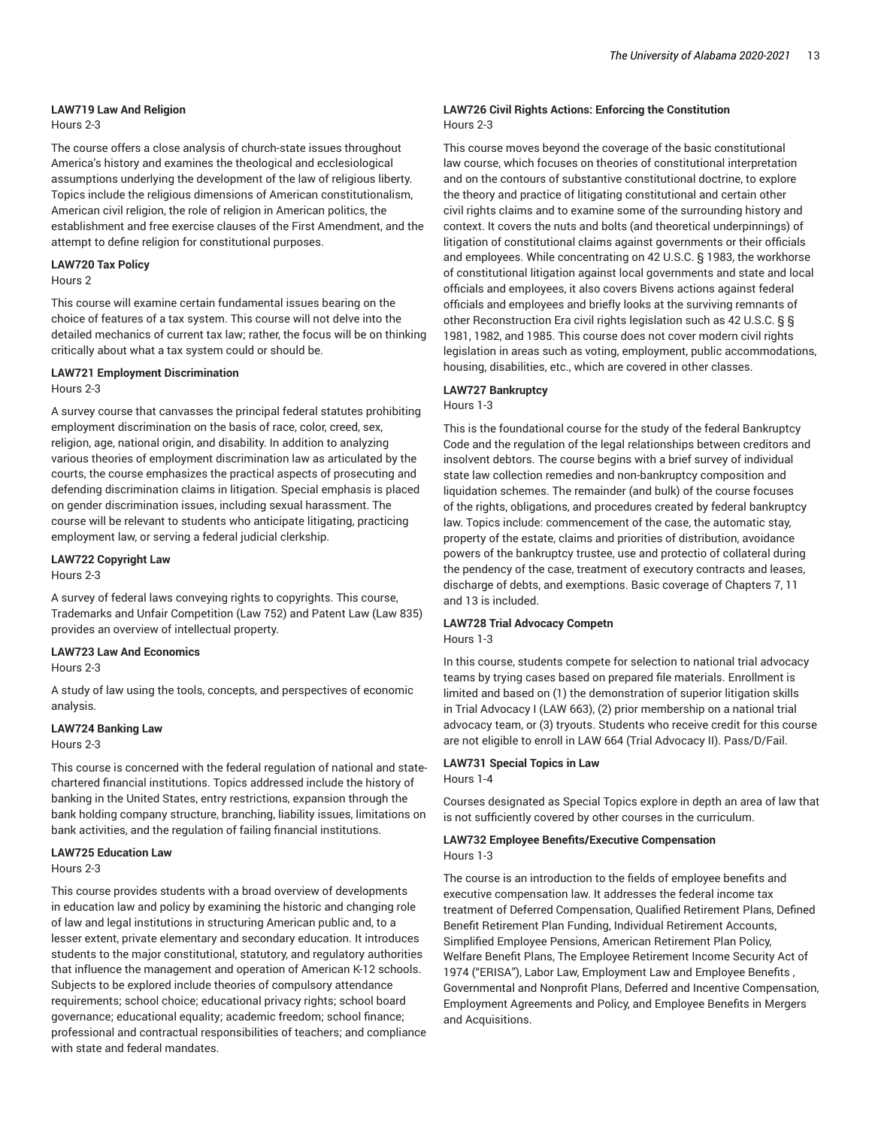## **LAW719 Law And Religion**

# Hours 2-3

The course offers a close analysis of church-state issues throughout America's history and examines the theological and ecclesiological assumptions underlying the development of the law of religious liberty. Topics include the religious dimensions of American constitutionalism, American civil religion, the role of religion in American politics, the establishment and free exercise clauses of the First Amendment, and the attempt to define religion for constitutional purposes.

# **LAW720 Tax Policy**

Hours 2

This course will examine certain fundamental issues bearing on the choice of features of a tax system. This course will not delve into the detailed mechanics of current tax law; rather, the focus will be on thinking critically about what a tax system could or should be.

# **LAW721 Employment Discrimination**

Hours 2-3

A survey course that canvasses the principal federal statutes prohibiting employment discrimination on the basis of race, color, creed, sex, religion, age, national origin, and disability. In addition to analyzing various theories of employment discrimination law as articulated by the courts, the course emphasizes the practical aspects of prosecuting and defending discrimination claims in litigation. Special emphasis is placed on gender discrimination issues, including sexual harassment. The course will be relevant to students who anticipate litigating, practicing employment law, or serving a federal judicial clerkship.

# **LAW722 Copyright Law**

Hours 2-3

A survey of federal laws conveying rights to copyrights. This course, Trademarks and Unfair Competition (Law 752) and Patent Law (Law 835) provides an overview of intellectual property.

# **LAW723 Law And Economics**

Hours 2-3

A study of law using the tools, concepts, and perspectives of economic analysis.

# **LAW724 Banking Law**

Hours 2-3

This course is concerned with the federal regulation of national and statechartered financial institutions. Topics addressed include the history of banking in the United States, entry restrictions, expansion through the bank holding company structure, branching, liability issues, limitations on bank activities, and the regulation of failing financial institutions.

## **LAW725 Education Law**

Hours 2-3

This course provides students with a broad overview of developments in education law and policy by examining the historic and changing role of law and legal institutions in structuring American public and, to a lesser extent, private elementary and secondary education. It introduces students to the major constitutional, statutory, and regulatory authorities that influence the management and operation of American K-12 schools. Subjects to be explored include theories of compulsory attendance requirements; school choice; educational privacy rights; school board governance; educational equality; academic freedom; school finance; professional and contractual responsibilities of teachers; and compliance with state and federal mandates.

# **LAW726 Civil Rights Actions: Enforcing the Constitution** Hours 2-3

This course moves beyond the coverage of the basic constitutional law course, which focuses on theories of constitutional interpretation and on the contours of substantive constitutional doctrine, to explore the theory and practice of litigating constitutional and certain other civil rights claims and to examine some of the surrounding history and context. It covers the nuts and bolts (and theoretical underpinnings) of litigation of constitutional claims against governments or their officials and employees. While concentrating on 42 U.S.C. § 1983, the workhorse of constitutional litigation against local governments and state and local officials and employees, it also covers Bivens actions against federal officials and employees and briefly looks at the surviving remnants of other Reconstruction Era civil rights legislation such as 42 U.S.C. § § 1981, 1982, and 1985. This course does not cover modern civil rights legislation in areas such as voting, employment, public accommodations, housing, disabilities, etc., which are covered in other classes.

# **LAW727 Bankruptcy**

Hours 1-3

This is the foundational course for the study of the federal Bankruptcy Code and the regulation of the legal relationships between creditors and insolvent debtors. The course begins with a brief survey of individual state law collection remedies and non-bankruptcy composition and liquidation schemes. The remainder (and bulk) of the course focuses of the rights, obligations, and procedures created by federal bankruptcy law. Topics include: commencement of the case, the automatic stay, property of the estate, claims and priorities of distribution, avoidance powers of the bankruptcy trustee, use and protectio of collateral during the pendency of the case, treatment of executory contracts and leases, discharge of debts, and exemptions. Basic coverage of Chapters 7, 11 and 13 is included.

# **LAW728 Trial Advocacy Competn**

Hours 1-3

In this course, students compete for selection to national trial advocacy teams by trying cases based on prepared file materials. Enrollment is limited and based on (1) the demonstration of superior litigation skills in Trial Advocacy I (LAW 663), (2) prior membership on a national trial advocacy team, or (3) tryouts. Students who receive credit for this course are not eligible to enroll in LAW 664 (Trial Advocacy II). Pass/D/Fail.

# **LAW731 Special Topics in Law**

Hours 1-4

Courses designated as Special Topics explore in depth an area of law that is not sufficiently covered by other courses in the curriculum.

# **LAW732 Employee Benefits/Executive Compensation**

Hours 1-3

The course is an introduction to the fields of employee benefits and executive compensation law. It addresses the federal income tax treatment of Deferred Compensation, Qualified Retirement Plans, Defined Benefit Retirement Plan Funding, Individual Retirement Accounts, Simplified Employee Pensions, American Retirement Plan Policy, Welfare Benefit Plans, The Employee Retirement Income Security Act of 1974 ("ERISA"), Labor Law, Employment Law and Employee Benefits , Governmental and Nonprofit Plans, Deferred and Incentive Compensation, Employment Agreements and Policy, and Employee Benefits in Mergers and Acquisitions.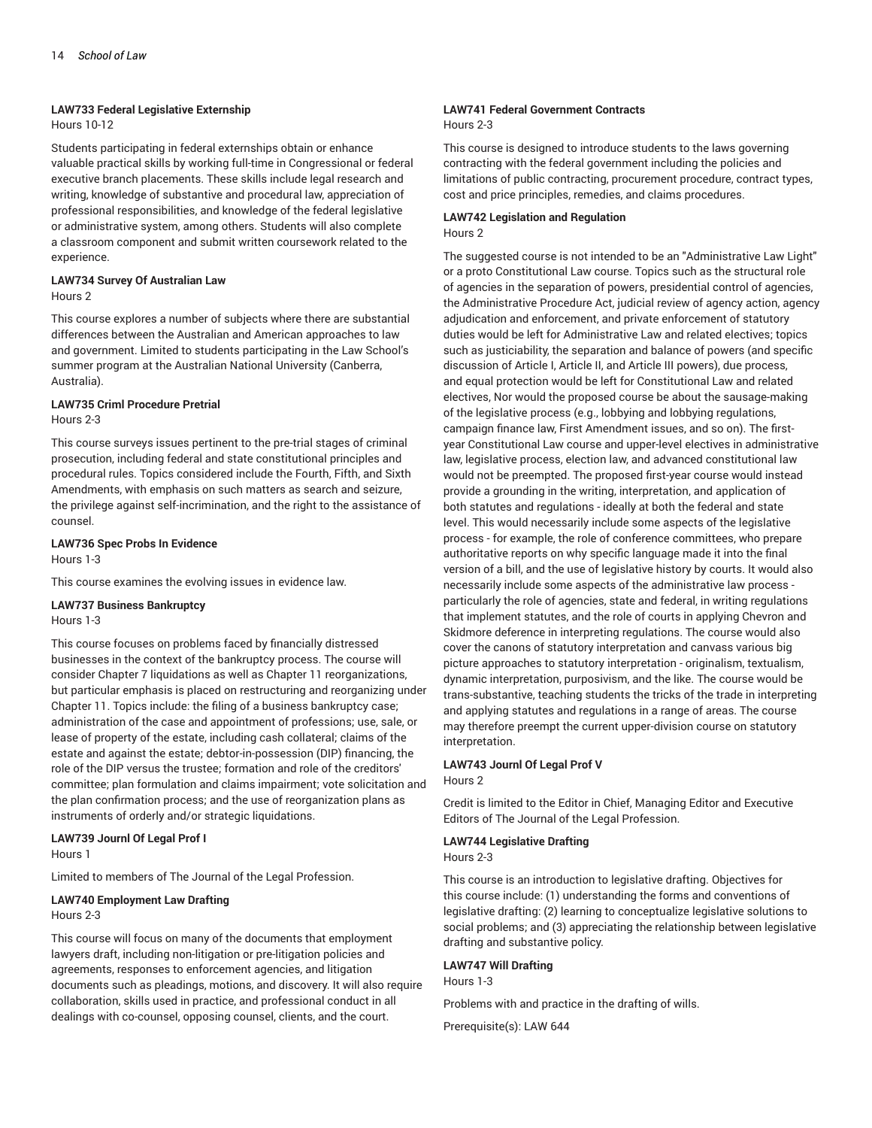#### **LAW733 Federal Legislative Externship**

## Hours 10-12

Students participating in federal externships obtain or enhance valuable practical skills by working full-time in Congressional or federal executive branch placements. These skills include legal research and writing, knowledge of substantive and procedural law, appreciation of professional responsibilities, and knowledge of the federal legislative or administrative system, among others. Students will also complete a classroom component and submit written coursework related to the experience.

# **LAW734 Survey Of Australian Law**

Hours 2

This course explores a number of subjects where there are substantial differences between the Australian and American approaches to law and government. Limited to students participating in the Law School's summer program at the Australian National University (Canberra, Australia).

# **LAW735 Criml Procedure Pretrial**

## Hours 2-3

This course surveys issues pertinent to the pre-trial stages of criminal prosecution, including federal and state constitutional principles and procedural rules. Topics considered include the Fourth, Fifth, and Sixth Amendments, with emphasis on such matters as search and seizure, the privilege against self-incrimination, and the right to the assistance of counsel.

# **LAW736 Spec Probs In Evidence**

Hours 1-3

This course examines the evolving issues in evidence law.

# **LAW737 Business Bankruptcy**

Hours 1-3

This course focuses on problems faced by financially distressed businesses in the context of the bankruptcy process. The course will consider Chapter 7 liquidations as well as Chapter 11 reorganizations, but particular emphasis is placed on restructuring and reorganizing under Chapter 11. Topics include: the filing of a business bankruptcy case; administration of the case and appointment of professions; use, sale, or lease of property of the estate, including cash collateral; claims of the estate and against the estate; debtor-in-possession (DIP) financing, the role of the DIP versus the trustee; formation and role of the creditors' committee; plan formulation and claims impairment; vote solicitation and the plan confirmation process; and the use of reorganization plans as instruments of orderly and/or strategic liquidations.

# **LAW739 Journl Of Legal Prof I**

Hours 1

Limited to members of The Journal of the Legal Profession.

# **LAW740 Employment Law Drafting**

#### Hours 2-3

This course will focus on many of the documents that employment lawyers draft, including non-litigation or pre-litigation policies and agreements, responses to enforcement agencies, and litigation documents such as pleadings, motions, and discovery. It will also require collaboration, skills used in practice, and professional conduct in all dealings with co-counsel, opposing counsel, clients, and the court.

# **LAW741 Federal Government Contracts**

# Hours 2-3

This course is designed to introduce students to the laws governing contracting with the federal government including the policies and limitations of public contracting, procurement procedure, contract types, cost and price principles, remedies, and claims procedures.

## **LAW742 Legislation and Regulation** Hours 2

The suggested course is not intended to be an "Administrative Law Light" or a proto Constitutional Law course. Topics such as the structural role of agencies in the separation of powers, presidential control of agencies, the Administrative Procedure Act, judicial review of agency action, agency adjudication and enforcement, and private enforcement of statutory duties would be left for Administrative Law and related electives; topics such as justiciability, the separation and balance of powers (and specific discussion of Article I, Article II, and Article III powers), due process, and equal protection would be left for Constitutional Law and related electives, Nor would the proposed course be about the sausage-making of the legislative process (e.g., lobbying and lobbying regulations, campaign finance law, First Amendment issues, and so on). The firstyear Constitutional Law course and upper-level electives in administrative law, legislative process, election law, and advanced constitutional law would not be preempted. The proposed first-year course would instead provide a grounding in the writing, interpretation, and application of both statutes and regulations - ideally at both the federal and state level. This would necessarily include some aspects of the legislative process - for example, the role of conference committees, who prepare authoritative reports on why specific language made it into the final version of a bill, and the use of legislative history by courts. It would also necessarily include some aspects of the administrative law process particularly the role of agencies, state and federal, in writing regulations that implement statutes, and the role of courts in applying Chevron and Skidmore deference in interpreting regulations. The course would also cover the canons of statutory interpretation and canvass various big picture approaches to statutory interpretation - originalism, textualism, dynamic interpretation, purposivism, and the like. The course would be trans-substantive, teaching students the tricks of the trade in interpreting and applying statutes and regulations in a range of areas. The course may therefore preempt the current upper-division course on statutory interpretation.

#### **LAW743 Journl Of Legal Prof V** Hours 2

Credit is limited to the Editor in Chief, Managing Editor and Executive Editors of The Journal of the Legal Profession.

## **LAW744 Legislative Drafting**

Hours 2-3

This course is an introduction to legislative drafting. Objectives for this course include: (1) understanding the forms and conventions of legislative drafting: (2) learning to conceptualize legislative solutions to social problems; and (3) appreciating the relationship between legislative drafting and substantive policy.

# **LAW747 Will Drafting**

Hours 1-3

Problems with and practice in the drafting of wills.

Prerequisite(s): LAW 644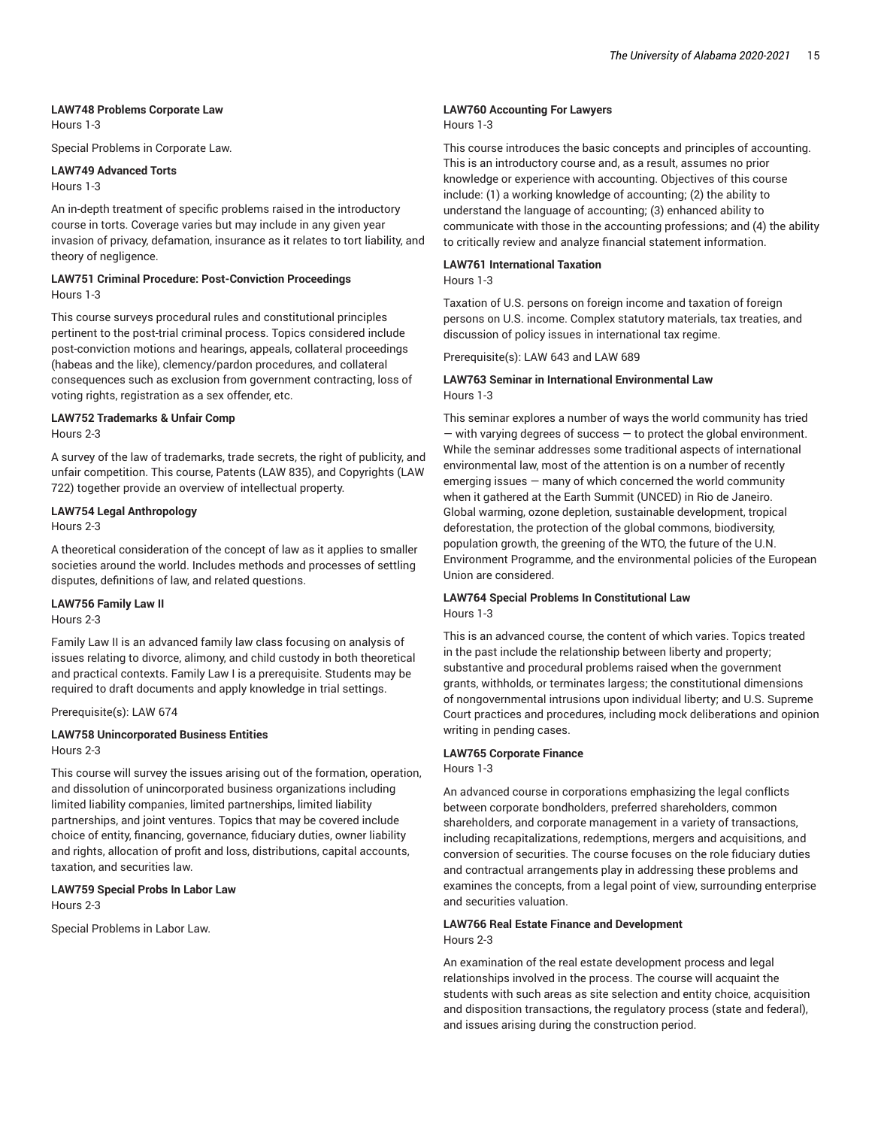# **LAW748 Problems Corporate Law**

Hours 1-3

Special Problems in Corporate Law.

# **LAW749 Advanced Torts**

Hours 1-3

An in-depth treatment of specific problems raised in the introductory course in torts. Coverage varies but may include in any given year invasion of privacy, defamation, insurance as it relates to tort liability, and theory of negligence.

### **LAW751 Criminal Procedure: Post-Conviction Proceedings** Hours 1-3

This course surveys procedural rules and constitutional principles pertinent to the post-trial criminal process. Topics considered include post-conviction motions and hearings, appeals, collateral proceedings (habeas and the like), clemency/pardon procedures, and collateral consequences such as exclusion from government contracting, loss of voting rights, registration as a sex offender, etc.

# **LAW752 Trademarks & Unfair Comp**

Hours 2-3

A survey of the law of trademarks, trade secrets, the right of publicity, and unfair competition. This course, Patents (LAW 835), and Copyrights (LAW 722) together provide an overview of intellectual property.

## **LAW754 Legal Anthropology**

Hours 2-3

A theoretical consideration of the concept of law as it applies to smaller societies around the world. Includes methods and processes of settling disputes, definitions of law, and related questions.

#### **LAW756 Family Law II**

Hours 2-3

Family Law II is an advanced family law class focusing on analysis of issues relating to divorce, alimony, and child custody in both theoretical and practical contexts. Family Law I is a prerequisite. Students may be required to draft documents and apply knowledge in trial settings.

Prerequisite(s): LAW 674

## **LAW758 Unincorporated Business Entities** Hours 2-3

This course will survey the issues arising out of the formation, operation, and dissolution of unincorporated business organizations including limited liability companies, limited partnerships, limited liability partnerships, and joint ventures. Topics that may be covered include choice of entity, financing, governance, fiduciary duties, owner liability and rights, allocation of profit and loss, distributions, capital accounts, taxation, and securities law.

# **LAW759 Special Probs In Labor Law** Hours 2-3

Special Problems in Labor Law.

# **LAW760 Accounting For Lawyers**

#### Hours 1-3

This course introduces the basic concepts and principles of accounting. This is an introductory course and, as a result, assumes no prior knowledge or experience with accounting. Objectives of this course include: (1) a working knowledge of accounting; (2) the ability to understand the language of accounting; (3) enhanced ability to communicate with those in the accounting professions; and (4) the ability to critically review and analyze financial statement information.

# **LAW761 International Taxation**

Hours 1-3

Taxation of U.S. persons on foreign income and taxation of foreign persons on U.S. income. Complex statutory materials, tax treaties, and discussion of policy issues in international tax regime.

Prerequisite(s): LAW 643 and LAW 689

## **LAW763 Seminar in International Environmental Law** Hours 1-3

This seminar explores a number of ways the world community has tried  $-$  with varying degrees of success  $-$  to protect the global environment. While the seminar addresses some traditional aspects of international environmental law, most of the attention is on a number of recently emerging issues — many of which concerned the world community when it gathered at the Earth Summit (UNCED) in Rio de Janeiro. Global warming, ozone depletion, sustainable development, tropical deforestation, the protection of the global commons, biodiversity, population growth, the greening of the WTO, the future of the U.N. Environment Programme, and the environmental policies of the European Union are considered.

## **LAW764 Special Problems In Constitutional Law** Hours 1-3

This is an advanced course, the content of which varies. Topics treated in the past include the relationship between liberty and property; substantive and procedural problems raised when the government grants, withholds, or terminates largess; the constitutional dimensions of nongovernmental intrusions upon individual liberty; and U.S. Supreme Court practices and procedures, including mock deliberations and opinion writing in pending cases.

# **LAW765 Corporate Finance**

Hours 1-3

An advanced course in corporations emphasizing the legal conflicts between corporate bondholders, preferred shareholders, common shareholders, and corporate management in a variety of transactions, including recapitalizations, redemptions, mergers and acquisitions, and conversion of securities. The course focuses on the role fiduciary duties and contractual arrangements play in addressing these problems and examines the concepts, from a legal point of view, surrounding enterprise and securities valuation.

# **LAW766 Real Estate Finance and Development** Hours 2-3

An examination of the real estate development process and legal relationships involved in the process. The course will acquaint the students with such areas as site selection and entity choice, acquisition and disposition transactions, the regulatory process (state and federal), and issues arising during the construction period.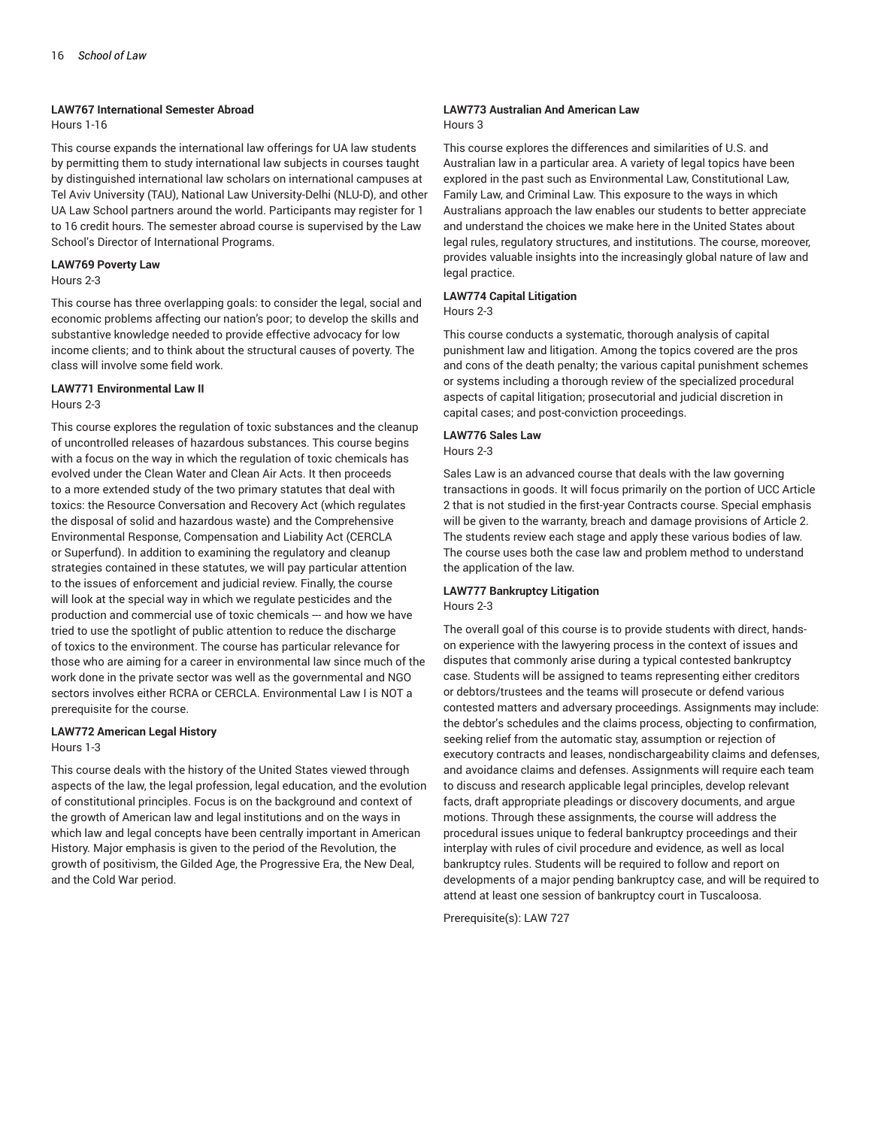#### **LAW767 International Semester Abroad**

Hours 1-16

This course expands the international law offerings for UA law students by permitting them to study international law subjects in courses taught by distinguished international law scholars on international campuses at Tel Aviv University (TAU), National Law University-Delhi (NLU-D), and other UA Law School partners around the world. Participants may register for 1 to 16 credit hours. The semester abroad course is supervised by the Law School's Director of International Programs.

# **LAW769 Poverty Law**

## Hours 2-3

This course has three overlapping goals: to consider the legal, social and economic problems affecting our nation's poor; to develop the skills and substantive knowledge needed to provide effective advocacy for low income clients; and to think about the structural causes of poverty. The class will involve some field work.

#### **LAW771 Environmental Law II** Hours 2-3

This course explores the regulation of toxic substances and the cleanup of uncontrolled releases of hazardous substances. This course begins with a focus on the way in which the regulation of toxic chemicals has evolved under the Clean Water and Clean Air Acts. It then proceeds to a more extended study of the two primary statutes that deal with toxics: the Resource Conversation and Recovery Act (which regulates the disposal of solid and hazardous waste) and the Comprehensive Environmental Response, Compensation and Liability Act (CERCLA or Superfund). In addition to examining the regulatory and cleanup strategies contained in these statutes, we will pay particular attention to the issues of enforcement and judicial review. Finally, the course will look at the special way in which we regulate pesticides and the production and commercial use of toxic chemicals --- and how we have tried to use the spotlight of public attention to reduce the discharge of toxics to the environment. The course has particular relevance for those who are aiming for a career in environmental law since much of the work done in the private sector was well as the governmental and NGO sectors involves either RCRA or CERCLA. Environmental Law I is NOT a prerequisite for the course.

# **LAW772 American Legal History**

#### Hours 1-3

This course deals with the history of the United States viewed through aspects of the law, the legal profession, legal education, and the evolution of constitutional principles. Focus is on the background and context of the growth of American law and legal institutions and on the ways in which law and legal concepts have been centrally important in American History. Major emphasis is given to the period of the Revolution, the growth of positivism, the Gilded Age, the Progressive Era, the New Deal, and the Cold War period.

#### **LAW773 Australian And American Law** Hours 3

This course explores the differences and similarities of U.S. and Australian law in a particular area. A variety of legal topics have been explored in the past such as Environmental Law, Constitutional Law, Family Law, and Criminal Law. This exposure to the ways in which Australians approach the law enables our students to better appreciate and understand the choices we make here in the United States about legal rules, regulatory structures, and institutions. The course, moreover, provides valuable insights into the increasingly global nature of law and legal practice.

## **LAW774 Capital Litigation**

## Hours 2-3

This course conducts a systematic, thorough analysis of capital punishment law and litigation. Among the topics covered are the pros and cons of the death penalty; the various capital punishment schemes or systems including a thorough review of the specialized procedural aspects of capital litigation; prosecutorial and judicial discretion in capital cases; and post-conviction proceedings.

# **LAW776 Sales Law**

# Hours 2-3

Sales Law is an advanced course that deals with the law governing transactions in goods. It will focus primarily on the portion of UCC Article 2 that is not studied in the first-year Contracts course. Special emphasis will be given to the warranty, breach and damage provisions of Article 2. The students review each stage and apply these various bodies of law. The course uses both the case law and problem method to understand the application of the law.

# **LAW777 Bankruptcy Litigation**

## Hours 2-3

The overall goal of this course is to provide students with direct, handson experience with the lawyering process in the context of issues and disputes that commonly arise during a typical contested bankruptcy case. Students will be assigned to teams representing either creditors or debtors/trustees and the teams will prosecute or defend various contested matters and adversary proceedings. Assignments may include: the debtor's schedules and the claims process, objecting to confirmation, seeking relief from the automatic stay, assumption or rejection of executory contracts and leases, nondischargeability claims and defenses, and avoidance claims and defenses. Assignments will require each team to discuss and research applicable legal principles, develop relevant facts, draft appropriate pleadings or discovery documents, and argue motions. Through these assignments, the course will address the procedural issues unique to federal bankruptcy proceedings and their interplay with rules of civil procedure and evidence, as well as local bankruptcy rules. Students will be required to follow and report on developments of a major pending bankruptcy case, and will be required to attend at least one session of bankruptcy court in Tuscaloosa.

Prerequisite(s): LAW 727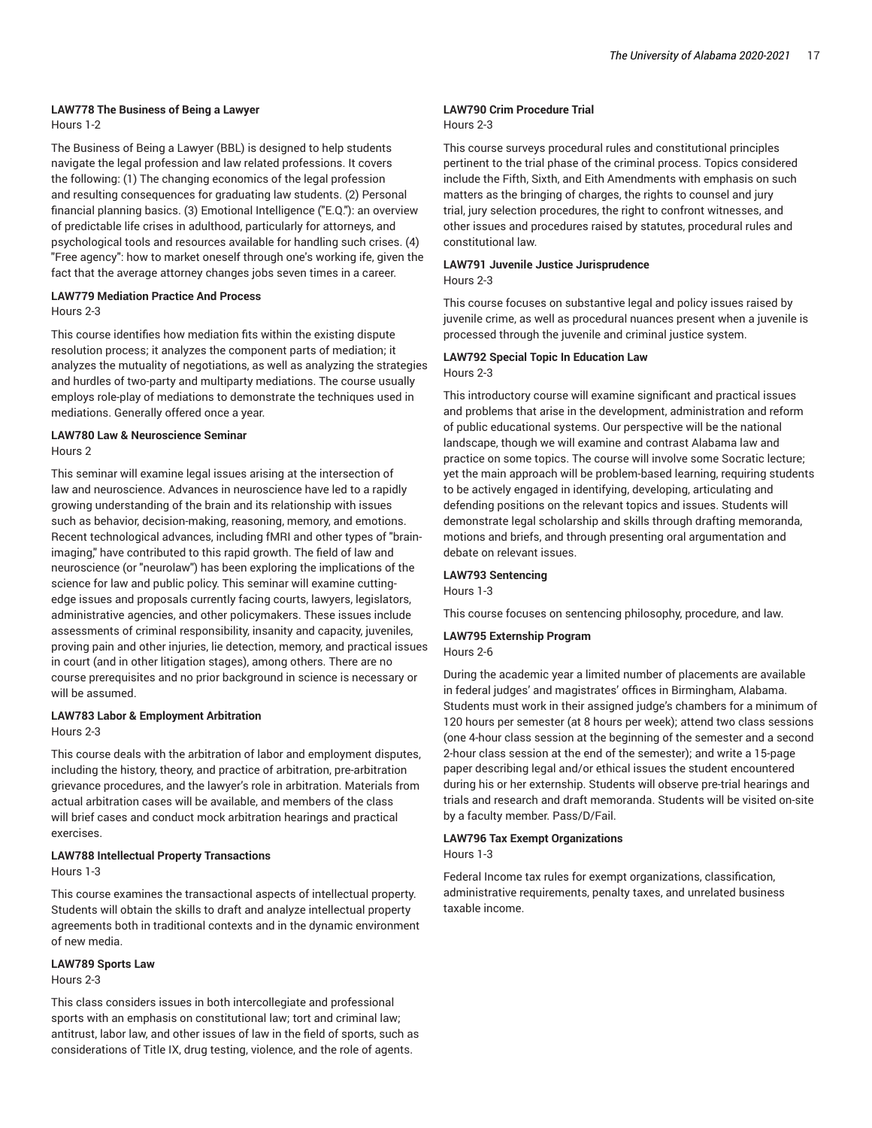# **LAW778 The Business of Being a Lawyer**

Hours 1-2

The Business of Being a Lawyer (BBL) is designed to help students navigate the legal profession and law related professions. It covers the following: (1) The changing economics of the legal profession and resulting consequences for graduating law students. (2) Personal financial planning basics. (3) Emotional Intelligence ("E.Q."): an overview of predictable life crises in adulthood, particularly for attorneys, and psychological tools and resources available for handling such crises. (4) "Free agency": how to market oneself through one's working ife, given the fact that the average attorney changes jobs seven times in a career.

# **LAW779 Mediation Practice And Process**

Hours 2-3

This course identifies how mediation fits within the existing dispute resolution process; it analyzes the component parts of mediation; it analyzes the mutuality of negotiations, as well as analyzing the strategies and hurdles of two-party and multiparty mediations. The course usually employs role-play of mediations to demonstrate the techniques used in mediations. Generally offered once a year.

### **LAW780 Law & Neuroscience Seminar** Hours 2

This seminar will examine legal issues arising at the intersection of law and neuroscience. Advances in neuroscience have led to a rapidly growing understanding of the brain and its relationship with issues such as behavior, decision-making, reasoning, memory, and emotions. Recent technological advances, including fMRI and other types of "brainimaging," have contributed to this rapid growth. The field of law and neuroscience (or "neurolaw") has been exploring the implications of the science for law and public policy. This seminar will examine cuttingedge issues and proposals currently facing courts, lawyers, legislators, administrative agencies, and other policymakers. These issues include assessments of criminal responsibility, insanity and capacity, juveniles, proving pain and other injuries, lie detection, memory, and practical issues in court (and in other litigation stages), among others. There are no course prerequisites and no prior background in science is necessary or will be assumed.

# **LAW783 Labor & Employment Arbitration**

Hours 2-3

This course deals with the arbitration of labor and employment disputes, including the history, theory, and practice of arbitration, pre-arbitration grievance procedures, and the lawyer's role in arbitration. Materials from actual arbitration cases will be available, and members of the class will brief cases and conduct mock arbitration hearings and practical exercises.

## **LAW788 Intellectual Property Transactions**

Hours 1-3

This course examines the transactional aspects of intellectual property. Students will obtain the skills to draft and analyze intellectual property agreements both in traditional contexts and in the dynamic environment of new media.

## **LAW789 Sports Law**

Hours 2-3

This class considers issues in both intercollegiate and professional sports with an emphasis on constitutional law; tort and criminal law; antitrust, labor law, and other issues of law in the field of sports, such as considerations of Title IX, drug testing, violence, and the role of agents.

# **LAW790 Crim Procedure Trial**

# Hours 2-3

This course surveys procedural rules and constitutional principles pertinent to the trial phase of the criminal process. Topics considered include the Fifth, Sixth, and Eith Amendments with emphasis on such matters as the bringing of charges, the rights to counsel and jury trial, jury selection procedures, the right to confront witnesses, and other issues and procedures raised by statutes, procedural rules and constitutional law.

### **LAW791 Juvenile Justice Jurisprudence** Hours 2-3

This course focuses on substantive legal and policy issues raised by juvenile crime, as well as procedural nuances present when a juvenile is processed through the juvenile and criminal justice system.

# **LAW792 Special Topic In Education Law** Hours 2-3

This introductory course will examine significant and practical issues and problems that arise in the development, administration and reform of public educational systems. Our perspective will be the national landscape, though we will examine and contrast Alabama law and practice on some topics. The course will involve some Socratic lecture; yet the main approach will be problem-based learning, requiring students to be actively engaged in identifying, developing, articulating and defending positions on the relevant topics and issues. Students will demonstrate legal scholarship and skills through drafting memoranda, motions and briefs, and through presenting oral argumentation and debate on relevant issues.

# **LAW793 Sentencing**

Hours 1-3

This course focuses on sentencing philosophy, procedure, and law.

# **LAW795 Externship Program**

Hours 2-6

During the academic year a limited number of placements are available in federal judges' and magistrates' offices in Birmingham, Alabama. Students must work in their assigned judge's chambers for a minimum of 120 hours per semester (at 8 hours per week); attend two class sessions (one 4-hour class session at the beginning of the semester and a second 2-hour class session at the end of the semester); and write a 15-page paper describing legal and/or ethical issues the student encountered during his or her externship. Students will observe pre-trial hearings and trials and research and draft memoranda. Students will be visited on-site by a faculty member. Pass/D/Fail.

# **LAW796 Tax Exempt Organizations**

Hours 1-3

Federal Income tax rules for exempt organizations, classification, administrative requirements, penalty taxes, and unrelated business taxable income.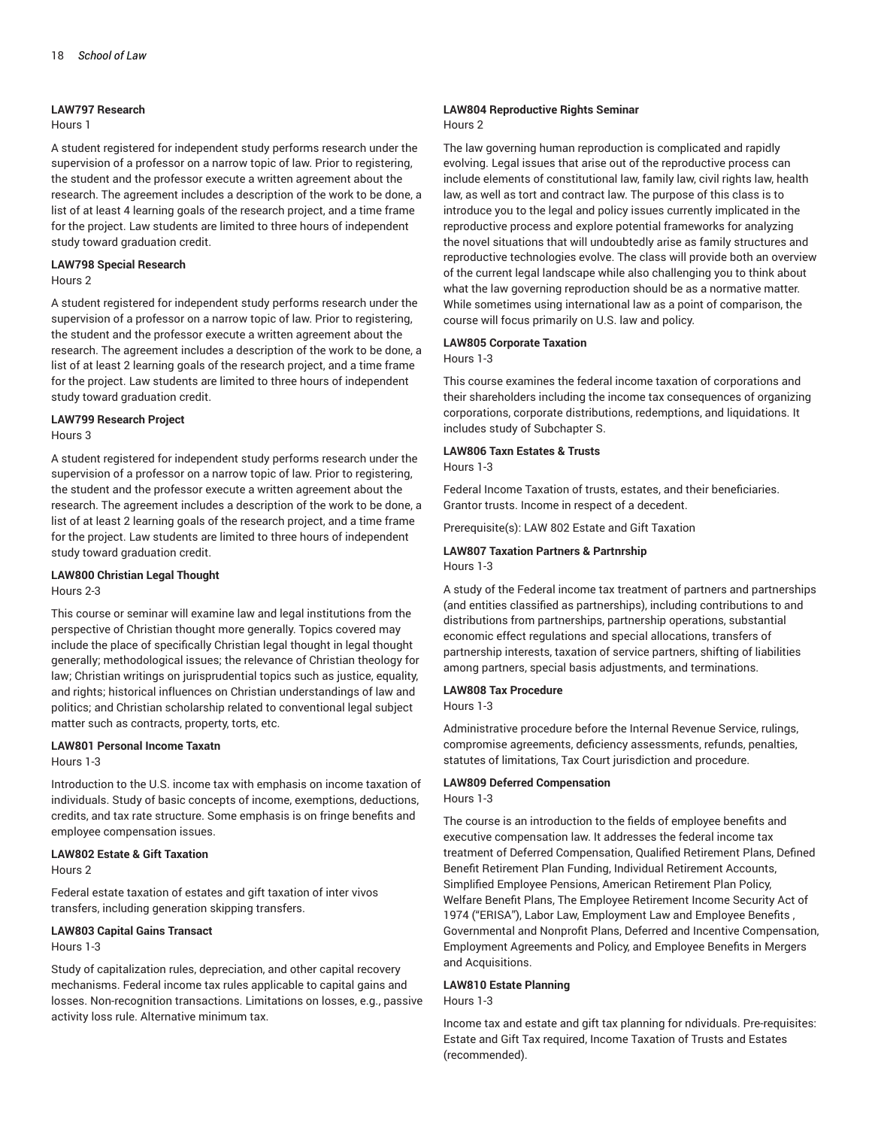#### **LAW797 Research**

#### Hours 1

A student registered for independent study performs research under the supervision of a professor on a narrow topic of law. Prior to registering, the student and the professor execute a written agreement about the research. The agreement includes a description of the work to be done, a list of at least 4 learning goals of the research project, and a time frame for the project. Law students are limited to three hours of independent study toward graduation credit.

# **LAW798 Special Research**

Hours 2

A student registered for independent study performs research under the supervision of a professor on a narrow topic of law. Prior to registering, the student and the professor execute a written agreement about the research. The agreement includes a description of the work to be done, a list of at least 2 learning goals of the research project, and a time frame for the project. Law students are limited to three hours of independent study toward graduation credit.

# **LAW799 Research Project**

#### Hours 3

A student registered for independent study performs research under the supervision of a professor on a narrow topic of law. Prior to registering, the student and the professor execute a written agreement about the research. The agreement includes a description of the work to be done, a list of at least 2 learning goals of the research project, and a time frame for the project. Law students are limited to three hours of independent study toward graduation credit.

#### **LAW800 Christian Legal Thought**

#### Hours 2-3

This course or seminar will examine law and legal institutions from the perspective of Christian thought more generally. Topics covered may include the place of specifically Christian legal thought in legal thought generally; methodological issues; the relevance of Christian theology for law; Christian writings on jurisprudential topics such as justice, equality, and rights; historical influences on Christian understandings of law and politics; and Christian scholarship related to conventional legal subject matter such as contracts, property, torts, etc.

## **LAW801 Personal Income Taxatn**

Hours 1-3

Introduction to the U.S. income tax with emphasis on income taxation of individuals. Study of basic concepts of income, exemptions, deductions, credits, and tax rate structure. Some emphasis is on fringe benefits and employee compensation issues.

# **LAW802 Estate & Gift Taxation**

Hours 2

Federal estate taxation of estates and gift taxation of inter vivos transfers, including generation skipping transfers.

# **LAW803 Capital Gains Transact**

Hours 1-3

Study of capitalization rules, depreciation, and other capital recovery mechanisms. Federal income tax rules applicable to capital gains and losses. Non-recognition transactions. Limitations on losses, e.g., passive activity loss rule. Alternative minimum tax.

#### **LAW804 Reproductive Rights Seminar** Hours 2

The law governing human reproduction is complicated and rapidly evolving. Legal issues that arise out of the reproductive process can include elements of constitutional law, family law, civil rights law, health law, as well as tort and contract law. The purpose of this class is to introduce you to the legal and policy issues currently implicated in the reproductive process and explore potential frameworks for analyzing the novel situations that will undoubtedly arise as family structures and reproductive technologies evolve. The class will provide both an overview of the current legal landscape while also challenging you to think about what the law governing reproduction should be as a normative matter. While sometimes using international law as a point of comparison, the course will focus primarily on U.S. law and policy.

# **LAW805 Corporate Taxation**

Hours 1-3

This course examines the federal income taxation of corporations and their shareholders including the income tax consequences of organizing corporations, corporate distributions, redemptions, and liquidations. It includes study of Subchapter S.

# **LAW806 Taxn Estates & Trusts**

Hours 1-3

Federal Income Taxation of trusts, estates, and their beneficiaries. Grantor trusts. Income in respect of a decedent.

Prerequisite(s): LAW 802 Estate and Gift Taxation

## **LAW807 Taxation Partners & Partnrship** Hours 1-3

A study of the Federal income tax treatment of partners and partnerships (and entities classified as partnerships), including contributions to and distributions from partnerships, partnership operations, substantial economic effect regulations and special allocations, transfers of partnership interests, taxation of service partners, shifting of liabilities among partners, special basis adjustments, and terminations.

# **LAW808 Tax Procedure**

Hours 1-3

Administrative procedure before the Internal Revenue Service, rulings, compromise agreements, deficiency assessments, refunds, penalties, statutes of limitations, Tax Court jurisdiction and procedure.

# **LAW809 Deferred Compensation**

Hours 1-3

The course is an introduction to the fields of employee benefits and executive compensation law. It addresses the federal income tax treatment of Deferred Compensation, Qualified Retirement Plans, Defined Benefit Retirement Plan Funding, Individual Retirement Accounts, Simplified Employee Pensions, American Retirement Plan Policy, Welfare Benefit Plans, The Employee Retirement Income Security Act of 1974 ("ERISA"), Labor Law, Employment Law and Employee Benefits , Governmental and Nonprofit Plans, Deferred and Incentive Compensation, Employment Agreements and Policy, and Employee Benefits in Mergers and Acquisitions.

# **LAW810 Estate Planning**

Hours 1-3

Income tax and estate and gift tax planning for ndividuals. Pre-requisites: Estate and Gift Tax required, Income Taxation of Trusts and Estates (recommended).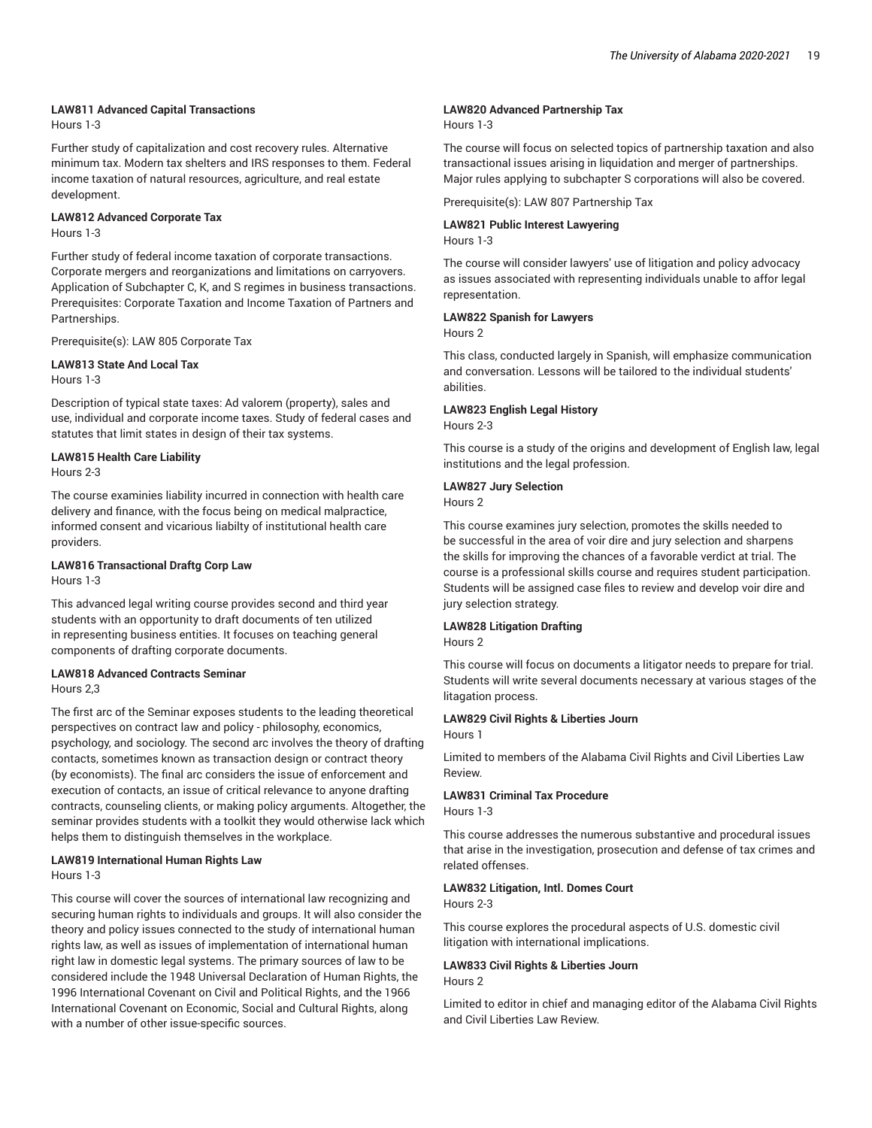## **LAW811 Advanced Capital Transactions**

Hours 1-3

Further study of capitalization and cost recovery rules. Alternative minimum tax. Modern tax shelters and IRS responses to them. Federal income taxation of natural resources, agriculture, and real estate development.

# **LAW812 Advanced Corporate Tax**

Hours 1-3

Further study of federal income taxation of corporate transactions. Corporate mergers and reorganizations and limitations on carryovers. Application of Subchapter C, K, and S regimes in business transactions. Prerequisites: Corporate Taxation and Income Taxation of Partners and Partnerships.

Prerequisite(s): LAW 805 Corporate Tax

# **LAW813 State And Local Tax**

Hours 1-3

Description of typical state taxes: Ad valorem (property), sales and use, individual and corporate income taxes. Study of federal cases and statutes that limit states in design of their tax systems.

## **LAW815 Health Care Liability**

Hours 2-3

The course examinies liability incurred in connection with health care delivery and finance, with the focus being on medical malpractice, informed consent and vicarious liabilty of institutional health care providers.

# **LAW816 Transactional Draftg Corp Law**

Hours 1-3

This advanced legal writing course provides second and third year students with an opportunity to draft documents of ten utilized in representing business entities. It focuses on teaching general components of drafting corporate documents.

# **LAW818 Advanced Contracts Seminar**

Hours 2,3

The first arc of the Seminar exposes students to the leading theoretical perspectives on contract law and policy - philosophy, economics, psychology, and sociology. The second arc involves the theory of drafting contacts, sometimes known as transaction design or contract theory (by economists). The final arc considers the issue of enforcement and execution of contacts, an issue of critical relevance to anyone drafting contracts, counseling clients, or making policy arguments. Altogether, the seminar provides students with a toolkit they would otherwise lack which helps them to distinguish themselves in the workplace.

# **LAW819 International Human Rights Law**

Hours 1-3

This course will cover the sources of international law recognizing and securing human rights to individuals and groups. It will also consider the theory and policy issues connected to the study of international human rights law, as well as issues of implementation of international human right law in domestic legal systems. The primary sources of law to be considered include the 1948 Universal Declaration of Human Rights, the 1996 International Covenant on Civil and Political Rights, and the 1966 International Covenant on Economic, Social and Cultural Rights, along with a number of other issue-specific sources.

## **LAW820 Advanced Partnership Tax**

Hours 1-3

The course will focus on selected topics of partnership taxation and also transactional issues arising in liquidation and merger of partnerships. Major rules applying to subchapter S corporations will also be covered.

Prerequisite(s): LAW 807 Partnership Tax

## **LAW821 Public Interest Lawyering**

Hours 1-3

The course will consider lawyers' use of litigation and policy advocacy as issues associated with representing individuals unable to affor legal representation.

## **LAW822 Spanish for Lawyers**

Hours 2

This class, conducted largely in Spanish, will emphasize communication and conversation. Lessons will be tailored to the individual students' abilities.

## **LAW823 English Legal History**

Hours 2-3

This course is a study of the origins and development of English law, legal institutions and the legal profession.

## **LAW827 Jury Selection**

Hours 2

This course examines jury selection, promotes the skills needed to be successful in the area of voir dire and jury selection and sharpens the skills for improving the chances of a favorable verdict at trial. The course is a professional skills course and requires student participation. Students will be assigned case files to review and develop voir dire and jury selection strategy.

## **LAW828 Litigation Drafting**

Hours 2

This course will focus on documents a litigator needs to prepare for trial. Students will write several documents necessary at various stages of the litagation process.

## **LAW829 Civil Rights & Liberties Journ**

Hours 1

Limited to members of the Alabama Civil Rights and Civil Liberties Law Review.

# **LAW831 Criminal Tax Procedure**

Hours 1-3

This course addresses the numerous substantive and procedural issues that arise in the investigation, prosecution and defense of tax crimes and related offenses.

# **LAW832 Litigation, Intl. Domes Court**

Hours 2-3

This course explores the procedural aspects of U.S. domestic civil litigation with international implications.

#### **LAW833 Civil Rights & Liberties Journ** Hours 2

Limited to editor in chief and managing editor of the Alabama Civil Rights and Civil Liberties Law Review.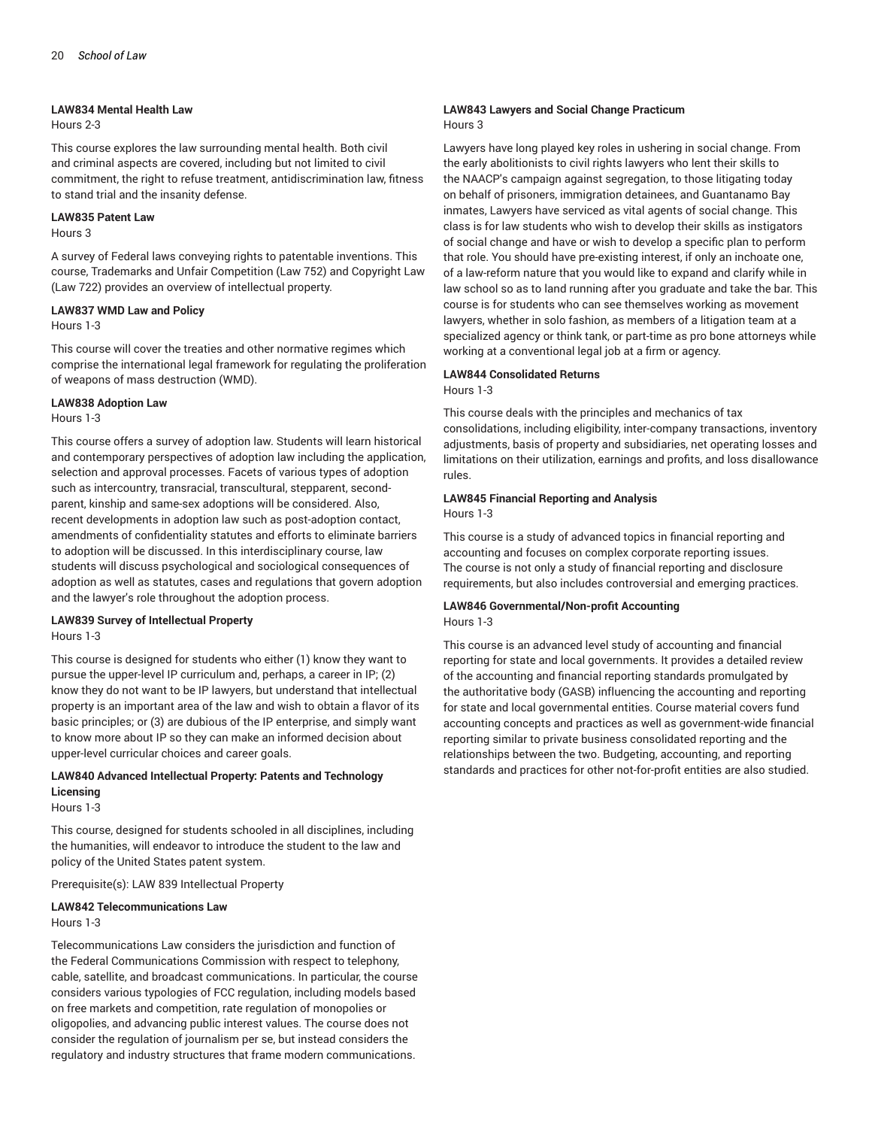#### **LAW834 Mental Health Law**

Hours 2-3

This course explores the law surrounding mental health. Both civil and criminal aspects are covered, including but not limited to civil commitment, the right to refuse treatment, antidiscrimination law, fitness to stand trial and the insanity defense.

#### **LAW835 Patent Law**

#### Hours 3

A survey of Federal laws conveying rights to patentable inventions. This course, Trademarks and Unfair Competition (Law 752) and Copyright Law (Law 722) provides an overview of intellectual property.

#### **LAW837 WMD Law and Policy**

#### Hours 1-3

This course will cover the treaties and other normative regimes which comprise the international legal framework for regulating the proliferation of weapons of mass destruction (WMD).

#### **LAW838 Adoption Law**

#### Hours 1-3

This course offers a survey of adoption law. Students will learn historical and contemporary perspectives of adoption law including the application, selection and approval processes. Facets of various types of adoption such as intercountry, transracial, transcultural, stepparent, secondparent, kinship and same-sex adoptions will be considered. Also, recent developments in adoption law such as post-adoption contact, amendments of confidentiality statutes and efforts to eliminate barriers to adoption will be discussed. In this interdisciplinary course, law students will discuss psychological and sociological consequences of adoption as well as statutes, cases and regulations that govern adoption and the lawyer's role throughout the adoption process.

#### **LAW839 Survey of Intellectual Property**

#### Hours 1-3

This course is designed for students who either (1) know they want to pursue the upper-level IP curriculum and, perhaps, a career in IP; (2) know they do not want to be IP lawyers, but understand that intellectual property is an important area of the law and wish to obtain a flavor of its basic principles; or (3) are dubious of the IP enterprise, and simply want to know more about IP so they can make an informed decision about upper-level curricular choices and career goals.

# **LAW840 Advanced Intellectual Property: Patents and Technology Licensing**

Hours 1-3

This course, designed for students schooled in all disciplines, including the humanities, will endeavor to introduce the student to the law and policy of the United States patent system.

Prerequisite(s): LAW 839 Intellectual Property

# **LAW842 Telecommunications Law**

Hours 1-3

Telecommunications Law considers the jurisdiction and function of the Federal Communications Commission with respect to telephony, cable, satellite, and broadcast communications. In particular, the course considers various typologies of FCC regulation, including models based on free markets and competition, rate regulation of monopolies or oligopolies, and advancing public interest values. The course does not consider the regulation of journalism per se, but instead considers the regulatory and industry structures that frame modern communications.

#### **LAW843 Lawyers and Social Change Practicum** Hours 3

Lawyers have long played key roles in ushering in social change. From the early abolitionists to civil rights lawyers who lent their skills to the NAACP's campaign against segregation, to those litigating today on behalf of prisoners, immigration detainees, and Guantanamo Bay inmates, Lawyers have serviced as vital agents of social change. This class is for law students who wish to develop their skills as instigators of social change and have or wish to develop a specific plan to perform that role. You should have pre-existing interest, if only an inchoate one, of a law-reform nature that you would like to expand and clarify while in law school so as to land running after you graduate and take the bar. This course is for students who can see themselves working as movement lawyers, whether in solo fashion, as members of a litigation team at a specialized agency or think tank, or part-time as pro bone attorneys while working at a conventional legal job at a firm or agency.

## **LAW844 Consolidated Returns** Hours 1-3

This course deals with the principles and mechanics of tax consolidations, including eligibility, inter-company transactions, inventory adjustments, basis of property and subsidiaries, net operating losses and limitations on their utilization, earnings and profits, and loss disallowance rules.

# **LAW845 Financial Reporting and Analysis**

Hours 1-3

This course is a study of advanced topics in financial reporting and accounting and focuses on complex corporate reporting issues. The course is not only a study of financial reporting and disclosure requirements, but also includes controversial and emerging practices.

#### **LAW846 Governmental/Non-profit Accounting** Hours 1-3

This course is an advanced level study of accounting and financial reporting for state and local governments. It provides a detailed review of the accounting and financial reporting standards promulgated by the authoritative body (GASB) influencing the accounting and reporting for state and local governmental entities. Course material covers fund accounting concepts and practices as well as government-wide financial reporting similar to private business consolidated reporting and the relationships between the two. Budgeting, accounting, and reporting standards and practices for other not-for-profit entities are also studied.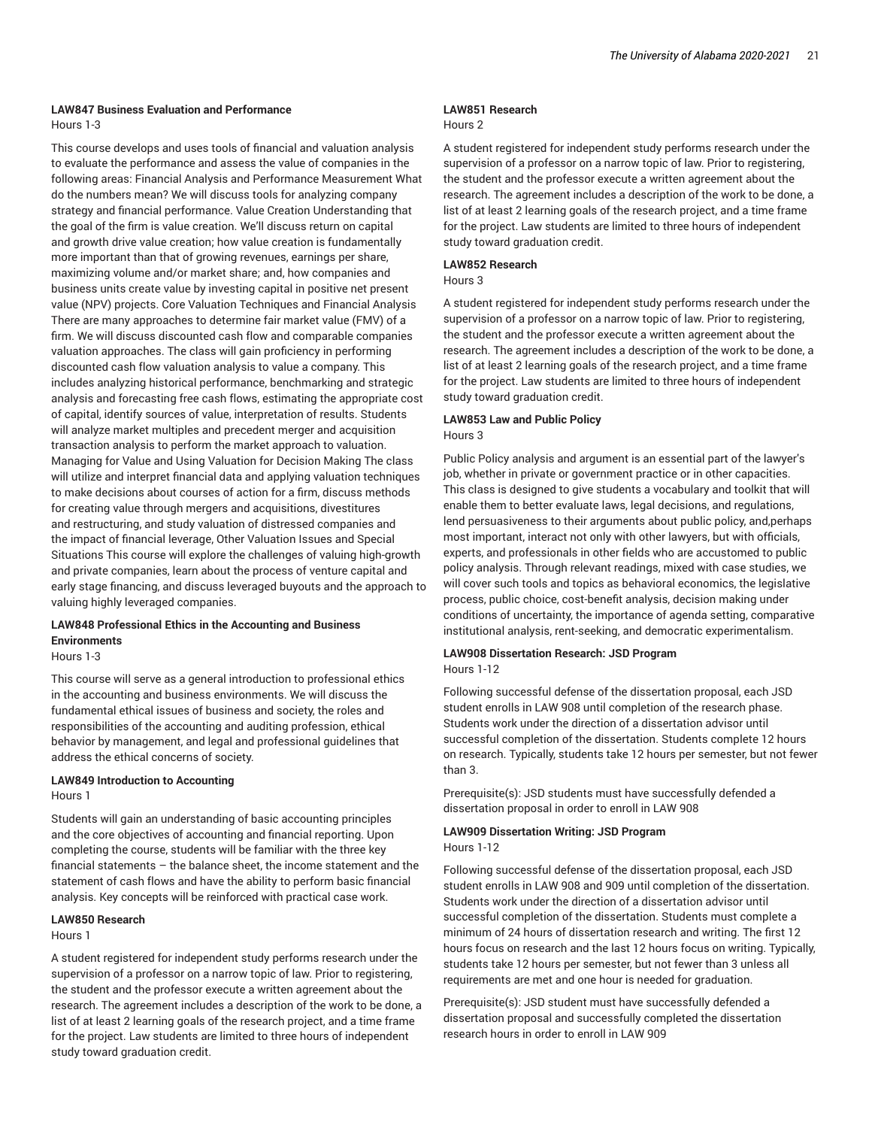#### **LAW847 Business Evaluation and Performance** Hours 1-3

This course develops and uses tools of financial and valuation analysis to evaluate the performance and assess the value of companies in the following areas: Financial Analysis and Performance Measurement What do the numbers mean? We will discuss tools for analyzing company strategy and financial performance. Value Creation Understanding that the goal of the firm is value creation. We'll discuss return on capital and growth drive value creation; how value creation is fundamentally more important than that of growing revenues, earnings per share, maximizing volume and/or market share; and, how companies and business units create value by investing capital in positive net present value (NPV) projects. Core Valuation Techniques and Financial Analysis There are many approaches to determine fair market value (FMV) of a firm. We will discuss discounted cash flow and comparable companies valuation approaches. The class will gain proficiency in performing discounted cash flow valuation analysis to value a company. This includes analyzing historical performance, benchmarking and strategic analysis and forecasting free cash flows, estimating the appropriate cost of capital, identify sources of value, interpretation of results. Students will analyze market multiples and precedent merger and acquisition transaction analysis to perform the market approach to valuation. Managing for Value and Using Valuation for Decision Making The class will utilize and interpret financial data and applying valuation techniques to make decisions about courses of action for a firm, discuss methods for creating value through mergers and acquisitions, divestitures and restructuring, and study valuation of distressed companies and the impact of financial leverage, Other Valuation Issues and Special Situations This course will explore the challenges of valuing high-growth and private companies, learn about the process of venture capital and early stage financing, and discuss leveraged buyouts and the approach to valuing highly leveraged companies.

# **LAW848 Professional Ethics in the Accounting and Business Environments**

Hours 1-3

This course will serve as a general introduction to professional ethics in the accounting and business environments. We will discuss the fundamental ethical issues of business and society, the roles and responsibilities of the accounting and auditing profession, ethical behavior by management, and legal and professional guidelines that address the ethical concerns of society.

## **LAW849 Introduction to Accounting**

#### Hours 1

Students will gain an understanding of basic accounting principles and the core objectives of accounting and financial reporting. Upon completing the course, students will be familiar with the three key financial statements – the balance sheet, the income statement and the statement of cash flows and have the ability to perform basic financial analysis. Key concepts will be reinforced with practical case work.

### **LAW850 Research**

# Hours 1

A student registered for independent study performs research under the supervision of a professor on a narrow topic of law. Prior to registering, the student and the professor execute a written agreement about the research. The agreement includes a description of the work to be done, a list of at least 2 learning goals of the research project, and a time frame for the project. Law students are limited to three hours of independent study toward graduation credit.

# **LAW851 Research**

#### Hours 2

A student registered for independent study performs research under the supervision of a professor on a narrow topic of law. Prior to registering, the student and the professor execute a written agreement about the research. The agreement includes a description of the work to be done, a list of at least 2 learning goals of the research project, and a time frame for the project. Law students are limited to three hours of independent study toward graduation credit.

## **LAW852 Research**

Hours 3

A student registered for independent study performs research under the supervision of a professor on a narrow topic of law. Prior to registering, the student and the professor execute a written agreement about the research. The agreement includes a description of the work to be done, a list of at least 2 learning goals of the research project, and a time frame for the project. Law students are limited to three hours of independent study toward graduation credit.

#### **LAW853 Law and Public Policy** Hours 3

Public Policy analysis and argument is an essential part of the lawyer's job, whether in private or government practice or in other capacities. This class is designed to give students a vocabulary and toolkit that will enable them to better evaluate laws, legal decisions, and regulations, lend persuasiveness to their arguments about public policy, and,perhaps most important, interact not only with other lawyers, but with officials, experts, and professionals in other fields who are accustomed to public policy analysis. Through relevant readings, mixed with case studies, we will cover such tools and topics as behavioral economics, the legislative process, public choice, cost-benefit analysis, decision making under conditions of uncertainty, the importance of agenda setting, comparative institutional analysis, rent-seeking, and democratic experimentalism.

#### **LAW908 Dissertation Research: JSD Program** Hours 1-12

Following successful defense of the dissertation proposal, each JSD student enrolls in LAW 908 until completion of the research phase. Students work under the direction of a dissertation advisor until successful completion of the dissertation. Students complete 12 hours on research. Typically, students take 12 hours per semester, but not fewer than 3.

Prerequisite(s): JSD students must have successfully defended a dissertation proposal in order to enroll in LAW 908

# **LAW909 Dissertation Writing: JSD Program** Hours 1-12

Following successful defense of the dissertation proposal, each JSD student enrolls in LAW 908 and 909 until completion of the dissertation. Students work under the direction of a dissertation advisor until successful completion of the dissertation. Students must complete a minimum of 24 hours of dissertation research and writing. The first 12 hours focus on research and the last 12 hours focus on writing. Typically, students take 12 hours per semester, but not fewer than 3 unless all requirements are met and one hour is needed for graduation.

Prerequisite(s): JSD student must have successfully defended a dissertation proposal and successfully completed the dissertation research hours in order to enroll in LAW 909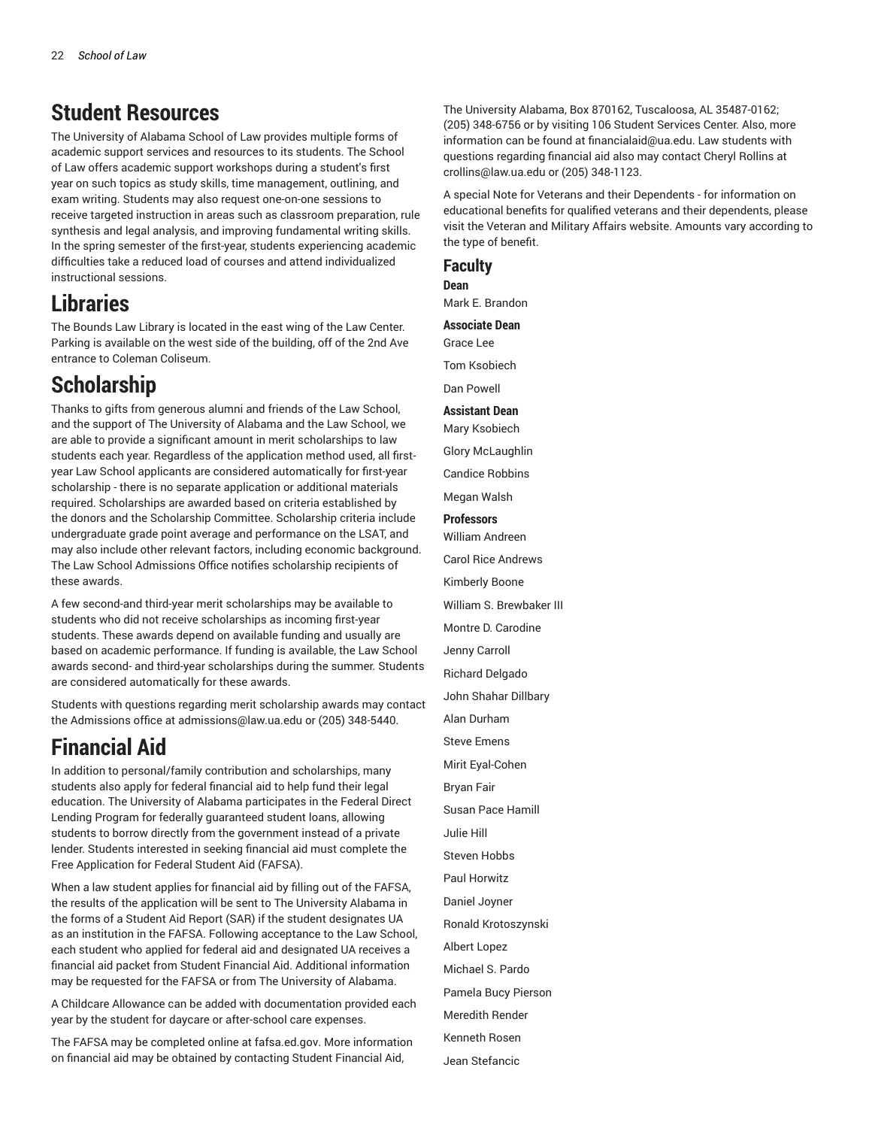# **Student Resources**

The University of Alabama School of Law provides multiple forms of academic support services and resources to its students. The School of Law offers academic support workshops during a student's first year on such topics as study skills, time management, outlining, and exam writing. Students may also request one-on-one sessions to receive targeted instruction in areas such as classroom preparation, rule synthesis and legal analysis, and improving fundamental writing skills. In the spring semester of the first-year, students experiencing academic difficulties take a reduced load of courses and attend individualized instructional sessions.

# **Libraries**

The Bounds Law Library is located in the east wing of the Law Center. Parking is available on the west side of the building, off of the 2nd Ave entrance to Coleman Coliseum.

# **Scholarship**

Thanks to gifts from generous alumni and friends of the Law School, and the support of The University of Alabama and the Law School, we are able to provide a significant amount in merit scholarships to law students each year. Regardless of the application method used, all firstyear Law School applicants are considered automatically for first-year scholarship - there is no separate application or additional materials required. Scholarships are awarded based on criteria established by the donors and the Scholarship Committee. Scholarship criteria include undergraduate grade point average and performance on the LSAT, and may also include other relevant factors, including economic background. The Law School Admissions Office notifies scholarship recipients of these awards.

A few second-and third-year merit scholarships may be available to students who did not receive scholarships as incoming first-year students. These awards depend on available funding and usually are based on academic performance. If funding is available, the Law School awards second- and third-year scholarships during the summer. Students are considered automatically for these awards.

Students with questions regarding merit scholarship awards may contact the Admissions office at [admissions@law.ua.edu](http://catalog.ua.edu/law/admissions@law.ua.edu) or (205) 348-5440.

# **Financial Aid**

In addition to personal/family contribution and scholarships, many students also apply for federal financial aid to help fund their legal education. The University of Alabama participates in the Federal Direct Lending Program for federally guaranteed student loans, allowing students to borrow directly from the government instead of a private lender. Students interested in seeking financial aid must complete the Free Application for Federal Student Aid (FAFSA).

When a law student applies for financial aid by filling out of the FAFSA, the results of the application will be sent to The University Alabama in the forms of a Student Aid Report (SAR) if the student designates UA as an institution in the FAFSA. Following acceptance to the Law School, each student who applied for federal aid and designated UA receives a financial aid packet from Student Financial Aid. Additional information may be requested for the FAFSA or from The University of Alabama.

A Childcare Allowance can be added with documentation provided each year by the student for daycare or after-school care expenses.

The FAFSA may be completed online at [fafsa.ed.gov.](http://catalog.ua.edu/law/fafsa.ed.gov) More information on financial aid may be obtained by contacting Student Financial Aid,

The University Alabama, Box 870162, Tuscaloosa, AL 35487-0162; (205) 348-6756 or by visiting 106 Student Services Center. Also, more information can be found at [financialaid@ua.edu](http://catalog.ua.edu/law/financialaid@ua.edu). Law students with questions regarding financial aid also may contact Cheryl Rollins at [crollins@law.ua.edu](http://catalog.ua.edu/law/crollins@law.ua.edu) or (205) 348-1123.

A special Note for Veterans and their Dependents - for information on educational benefits for qualified veterans and their dependents, please visit the Veteran and Military Affairs [website.](https://vets.sa.ua.edu/) Amounts vary according to the type of benefit.

# **Faculty**

**Dean** Mark E. Brandon

**Associate Dean** Grace Lee

Tom Ksobiech

Dan Powell

# **Assistant Dean**

Mary Ksobiech

Glory McLaughlin

Candice Robbins

Megan Walsh

**Professors** William Andreen

Carol Rice Andrews

Kimberly Boone

William S. Brewbaker III

Montre D. Carodine

Jenny Carroll

Richard Delgado

John Shahar Dillbary

Alan Durham Steve Emens

Mirit Eyal-Cohen

Bryan Fair

Susan Pace Hamill

Julie Hill

Steven Hobbs

Paul Horwitz

Daniel Joyner

Ronald Krotoszynski

Albert Lopez

Michael S. Pardo

Pamela Bucy Pierson

Meredith Render

Kenneth Rosen

Jean Stefancic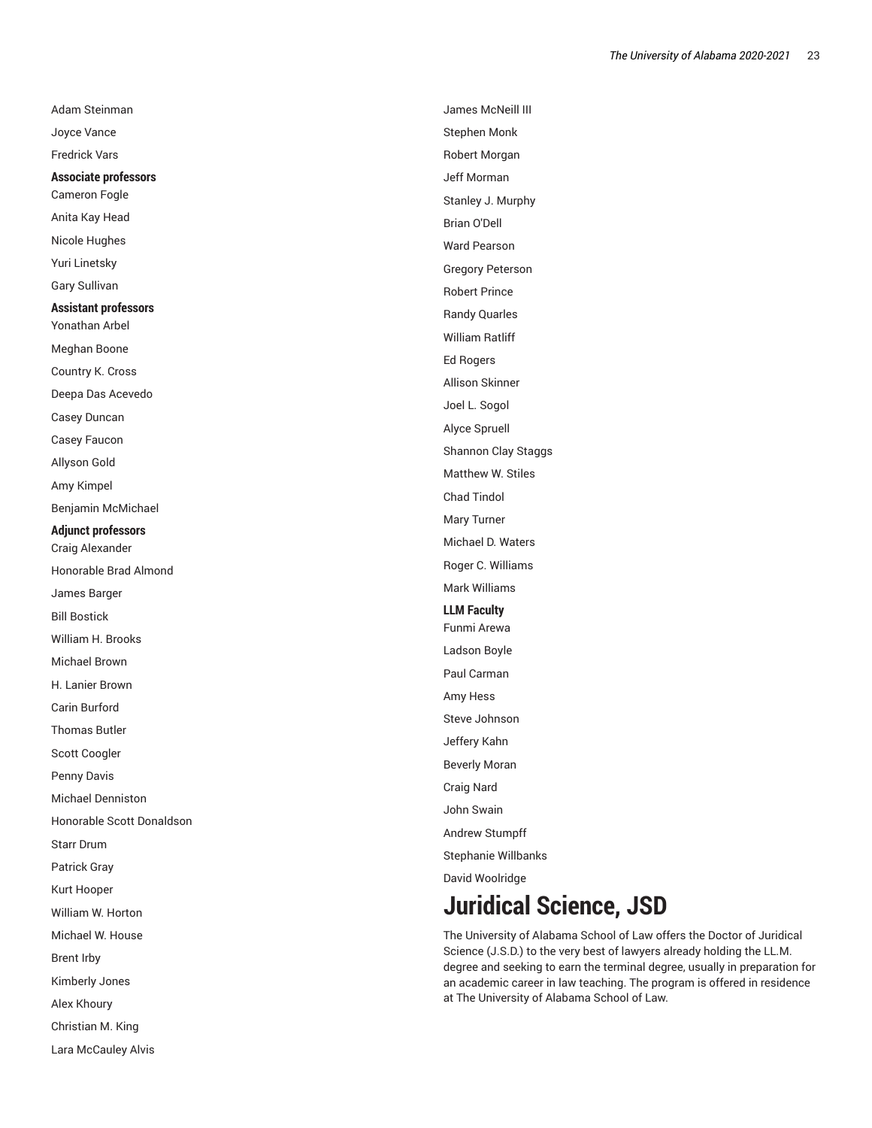Adam Steinman Joyce Vance Fredrick Vars **Associate profes s o r s** Cameron Fogle Anita Kay Head Nicole Hughes Yuri Linetsky Gary Sullivan **Assistant profe s s o r s** Yonathan Arbel Meghan Boone Country K. Cros s Deepa Das Acevedo Casey Duncan Casey Faucon Allyson Gold Amy Kimpel Benjamin McMichael **Adjunct professors** Craig Alexander Honorable Brad Almond James Barger Bill Bostick William H. Brooks Michael Brown H. Lanier Brown Carin Burford Thomas Butler Scott Coogler Penny Davis Michael Denniston Honorable Scott Donaldson Starr Drum Patrick Gra y Kurt Hooper William W. Horton Michael W. House Brent Irby Kimberly Jones Alex Khoury Christian M. King Lara McCauley Alvis

James McNeill III Stephen Monk Robert Morgan Jeff Morman Stanley J. Murphy Brian O'Dell Ward Pears o n Gregory Peterson Robert Prince Randy Quarles William Ratliff Ed Rogers Allison Skinner Joel L. Sogol Alyce Spruell Shannon Clay Staggs Matthew W. Stiles Chad Tindol Mary Turner Michael D. Waters Roger C. Williams Mark Williams **LLM Faculty** Funmi Arewa Ladson Boyle Paul Carman Amy Hess Steve Johnson Jeffery Kahn Beverly Moran Craig Nard John Swain Andrew Stu m p f f Stephanie Willbanks David Woolridge

# **Juridical Science, JSD**

<span id="page-22-0"></span>The University of Alabama School of Law offers the Doctor of Juridical Science (J.S.D.) to the very best of lawyers already holding the LL.M. degree and seeking to earn the terminal degree, usually in preparation f o r an academic career in law teaching. The program is offered in residence at The University of Alabama School of Law.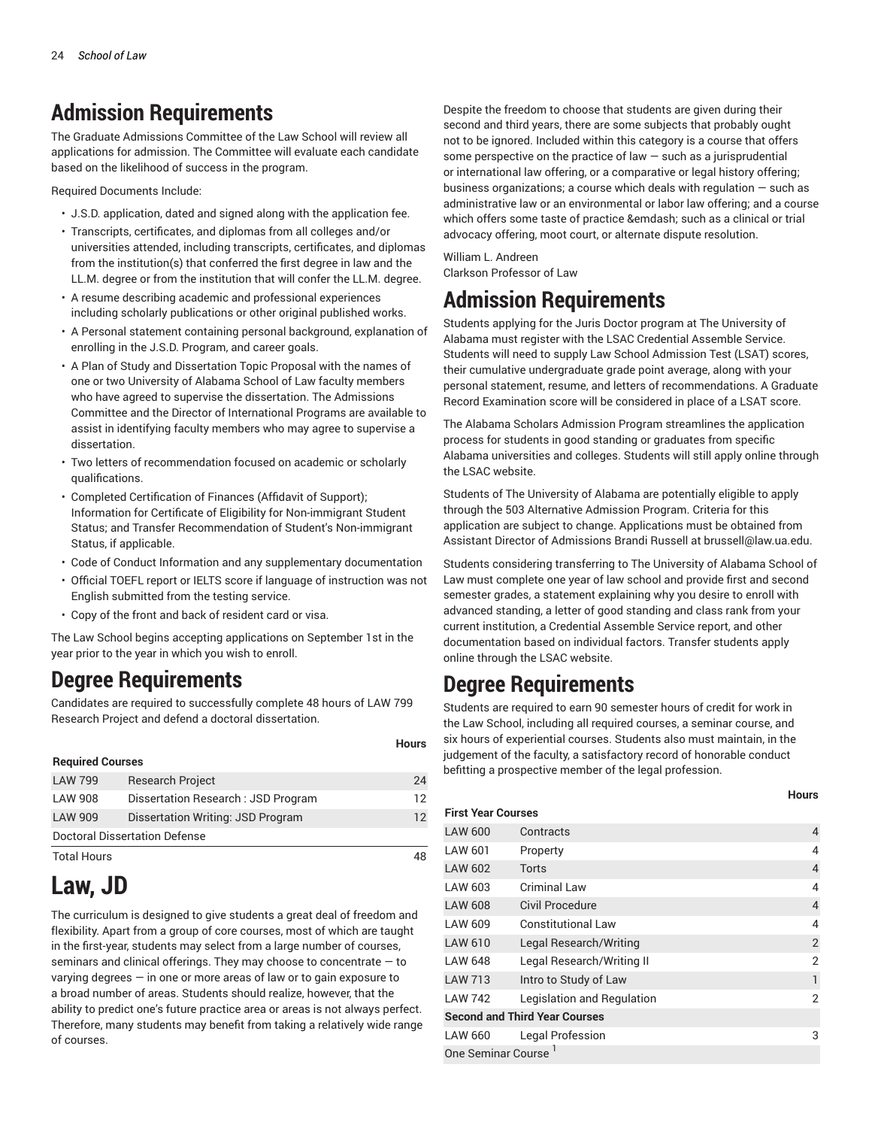# **Admission Requirements**

The Graduate Admissions Committee of the Law School will review all applications for admission. The Committee will evaluate each candidate based on the likelihood of success in the program.

Required Documents Include:

- J.S.D. application, dated and signed along with the application fee.
- Transcripts, certificates, and diplomas from all colleges and/or universities attended, including transcripts, certificates, and diplomas from the institution(s) that conferred the first degree in law and the LL.M. degree or from the institution that will confer the LL.M. degree.
- A resume describing academic and professional experiences including scholarly publications or other original published works.
- A Personal statement containing personal background, explanation of enrolling in the J.S.D. Program, and career goals.
- A Plan of Study and Dissertation Topic Proposal with the names of one or two University of Alabama School of Law faculty members who have agreed to supervise the dissertation. The Admissions Committee and the Director of International Programs are available to assist in identifying faculty members who may agree to supervise a dissertation.
- Two letters of recommendation focused on academic or scholarly qualifications.
- Completed Certification of Finances (Affidavit of Support); Information for Certificate of Eligibility for Non-immigrant Student Status; and Transfer Recommendation of Student's Non-immigrant Status, if applicable.
- Code of Conduct Information and any supplementary documentation
- Official TOEFL report or IELTS score if language of instruction was not English submitted from the testing service.
- Copy of the front and back of resident card or visa.

The Law School begins accepting applications on September 1st in the year prior to the year in which you wish to enroll.

# **Degree Requirements**

Candidates are required to successfully complete 48 hours of [LAW](/search/?P=LAW%20799/) 799 Research Project and defend a doctoral dissertation.

| <b>Required Courses</b> |                                      |    |  |
|-------------------------|--------------------------------------|----|--|
| <b>LAW 799</b>          | <b>Research Project</b>              | 24 |  |
| LAW 908                 | Dissertation Research: JSD Program   | 12 |  |
| <b>LAW 909</b>          | Dissertation Writing: JSD Program    | 12 |  |
|                         | <b>Doctoral Dissertation Defense</b> |    |  |
| <b>Total Hours</b>      |                                      | 48 |  |

# **Law, JD**

<span id="page-23-0"></span>The curriculum is designed to give students a great deal of freedom and flexibility. Apart from a group of core courses, most of which are taught in the first-year, students may select from a large number of courses, seminars and clinical offerings. They may choose to concentrate — to varying degrees — in one or more areas of law or to gain exposure to a broad number of areas. Students should realize, however, that the ability to predict one's future practice area or areas is not always perfect. Therefore, many students may benefit from taking a relatively wide range of courses.

Despite the freedom to choose that students are given during their second and third years, there are some subjects that probably ought not to be ignored. Included within this category is a course that offers some perspective on the practice of law  $-$  such as a jurisprudential or international law offering, or a comparative or legal history offering; business organizations; a course which deals with regulation  $-$  such as administrative law or an environmental or labor law offering; and a course which offers some taste of practice &emdash; such as a clinical or trial advocacy offering, moot court, or alternate dispute resolution.

William L. Andreen Clarkson Professor of Law

# **Admission Requirements**

Students applying for the Juris Doctor [program](https://www.law.ua.edu/admissions/) at The University of Alabama must register with the LSAC Credential Assemble Service. Students will need to supply Law School Admission Test (LSAT) scores, their cumulative undergraduate grade point average, along with your personal statement, resume, and letters of recommendations. A Graduate Record Examination score will be considered in place of a LSAT score.

The Alabama Scholars Admission Program streamlines the application process for students in good standing or graduates from specific Alabama universities and colleges. Students will still apply online through the [LSAC website](https://www.lsac.org/).

Students of The University of Alabama are potentially eligible to apply through the 503 Alternative Admission Program. Criteria for this application are subject to change. Applications must be obtained from Assistant Director of Admissions Brandi Russell at [brussell@law.ua.edu.](http://catalog.ua.edu/law/jd/brussell@law.ua.edu)

Students considering transferring to The University of Alabama School of Law must complete one year of law school and provide first and second semester grades, a statement explaining why you desire to enroll with advanced standing, a letter of good standing and class rank from your current institution, a Credential Assemble Service report, and other documentation based on individual factors. Transfer students apply online through the LSAC website.

# **Degree Requirements**

**Hours**

Students are required to earn 90 semester hours of credit for work in the Law School, including all required courses, a seminar course, and six hours of experiential courses. Students also must maintain, in the judgement of the faculty, a satisfactory record of honorable conduct befitting a prospective member of the legal profession.

#### **Hours**

| <b>First Year Courses</b> |                                      |                |  |
|---------------------------|--------------------------------------|----------------|--|
| <b>LAW 600</b>            | Contracts                            | 4              |  |
| LAW 601                   | Property                             | $\overline{4}$ |  |
| LAW 602                   | Torts                                | 4              |  |
| LAW 603                   | Criminal Law                         | 4              |  |
| <b>LAW 608</b>            | Civil Procedure                      | $\overline{4}$ |  |
| LAW 609                   | <b>Constitutional Law</b>            | $\overline{4}$ |  |
| LAW 610                   | Legal Research/Writing               | $\overline{2}$ |  |
| <b>LAW 648</b>            | Legal Research/Writing II            | $\overline{2}$ |  |
| <b>LAW 713</b>            | Intro to Study of Law                | 1              |  |
| <b>LAW 742</b>            | Legislation and Regulation           | $\overline{2}$ |  |
|                           | <b>Second and Third Year Courses</b> |                |  |
| <b>LAW 660</b>            | Legal Profession                     | 3              |  |
| One Seminar Course        |                                      |                |  |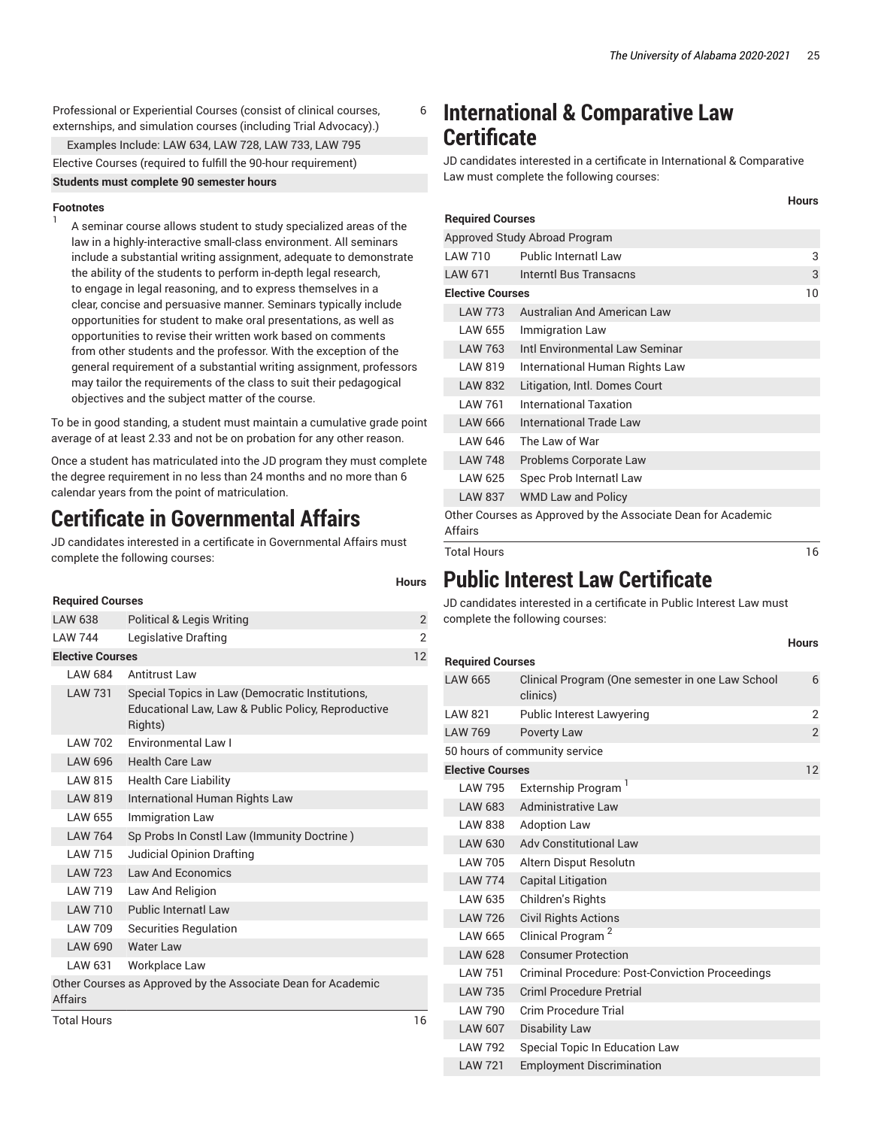**Hours**

**Hours**

Professional or Experiential Courses (consist of clinical courses, externships, and simulation courses (including Trial Advocacy).)

Examples Include: [LAW](/search/?P=LAW%20634/) 634, [LAW](/search/?P=LAW%20728/) 728, [LAW](/search/?P=LAW%20733/) 733, [LAW](/search/?P=LAW%20795/) 795

Elective Courses (required to fulfill the 90-hour requirement)

**Students must complete 90 semester hours**

## **Footnotes**

1

A seminar course allows student to study specialized areas of the law in a highly-interactive small-class environment. All seminars include a substantial writing assignment, adequate to demonstrate the ability of the students to perform in-depth legal research, to engage in legal reasoning, and to express themselves in a clear, concise and persuasive manner. Seminars typically include opportunities for student to make oral presentations, as well as opportunities to revise their written work based on comments from other students and the professor. With the exception of the general requirement of a substantial writing assignment, professors may tailor the requirements of the class to suit their pedagogical objectives and the subject matter of the course.

To be in good standing, a student must maintain a cumulative grade point average of at least 2.33 and not be on probation for any other reason.

Once a student has matriculated into the JD program they must complete the degree requirement in no less than 24 months and no more than 6 calendar years from the point of matriculation.

# **Certificate in Governmental Affairs**

JD candidates interested in a certificate in Governmental Affairs must complete the following courses:

#### **Required Courses**

**Hours**

6

| ncyuncu ovurscs         |                                                                                                                  |                |  |
|-------------------------|------------------------------------------------------------------------------------------------------------------|----------------|--|
| LAW 638                 | <b>Political &amp; Legis Writing</b>                                                                             | $\overline{2}$ |  |
| <b>LAW 744</b>          | Legislative Drafting                                                                                             | 2              |  |
| <b>Elective Courses</b> |                                                                                                                  | 12             |  |
| LAW 684                 | Antitrust Law                                                                                                    |                |  |
| <b>LAW 731</b>          | Special Topics in Law (Democratic Institutions,<br>Educational Law, Law & Public Policy, Reproductive<br>Rights) |                |  |
| LAW 702                 | <b>Fnvironmental Law L</b>                                                                                       |                |  |
| LAW 696                 | <b>Health Care Law</b>                                                                                           |                |  |
| LAW 815                 | <b>Health Care Liability</b>                                                                                     |                |  |
| <b>LAW 819</b>          | International Human Rights Law                                                                                   |                |  |
| <b>LAW 655</b>          | <b>Immigration Law</b>                                                                                           |                |  |
| <b>LAW 764</b>          | Sp Probs In Constl Law (Immunity Doctrine)                                                                       |                |  |
| <b>LAW 715</b>          | Judicial Opinion Drafting                                                                                        |                |  |
| <b>LAW 723</b>          | Law And Economics                                                                                                |                |  |
| LAW 719                 | Law And Religion                                                                                                 |                |  |
| <b>LAW 710</b>          | Public Internatl Law                                                                                             |                |  |
| LAW 709                 | <b>Securities Regulation</b>                                                                                     |                |  |
| <b>LAW 690</b>          | <b>Water Law</b>                                                                                                 |                |  |
| LAW 631                 | Workplace Law                                                                                                    |                |  |
| <b>Affairs</b>          | Other Courses as Approved by the Associate Dean for Academic                                                     |                |  |
| <b>Total Hours</b>      |                                                                                                                  | 16             |  |

# **International & Comparative Law Certificate**

JD candidates interested in a certificate in International & Comparative Law must complete the following courses:

| <b>Required Courses</b>       |                                                              |    |  |  |
|-------------------------------|--------------------------------------------------------------|----|--|--|
| Approved Study Abroad Program |                                                              |    |  |  |
| I AW 710                      | Public Internatl Law                                         | 3  |  |  |
| <b>LAW 671</b>                | Interntl Bus Transacns                                       | 3  |  |  |
| <b>Elective Courses</b>       |                                                              | 10 |  |  |
| <b>LAW 773</b>                | Australian And American Law                                  |    |  |  |
| LAW 655                       | Immigration Law                                              |    |  |  |
| LAW 763                       | Intl Environmental Law Seminar                               |    |  |  |
| LAW 819                       | International Human Rights Law                               |    |  |  |
| LAW 832                       | Litigation, Intl. Domes Court                                |    |  |  |
| I AW 761                      | International Taxation                                       |    |  |  |
| LAW 666                       | International Trade Law                                      |    |  |  |
| LAW 646                       | The Law of War                                               |    |  |  |
| <b>LAW 748</b>                | Problems Corporate Law                                       |    |  |  |
| LAW 625                       | Spec Prob Internatl Law                                      |    |  |  |
| <b>LAW 837</b>                | <b>WMD Law and Policy</b>                                    |    |  |  |
| Affairs                       | Other Courses as Approved by the Associate Dean for Academic |    |  |  |
| <b>Total Hours</b>            |                                                              | 16 |  |  |

# **Public Interest Law Certificate**

JD candidates interested in a certificate in Public Interest Law must complete the following courses:

# **Required Courses** [LAW](/search/?P=LAW%20665/) 665 Clinical Program (One semester in one Law School clinics) 6 [LAW](/search/?P=LAW%20821/) 821 Public Interest Lawyering 2 [LAW](/search/?P=LAW%20769/) 769 Poverty Law 2 50 hours of community service **Elective Courses** 12 [LAW](/search/?P=LAW%20795/) 795 Externship Program<sup>1</sup> [LAW](/search/?P=LAW%20683/) 683 Administrative Law [LAW](/search/?P=LAW%20838/) 838 Adoption Law [LAW](/search/?P=LAW%20630/) 630 Adv Constitutional Law [LAW](/search/?P=LAW%20705/) 705 Altern Disput Resolutn [LAW](/search/?P=LAW%20774/) 774 Capital Litigation [LAW](/search/?P=LAW%20635/) 635 Children's Rights [LAW](/search/?P=LAW%20726/) 726 Civil Rights Actions [LAW](/search/?P=LAW%20665/) 665 Clinical Program<sup>2</sup> [LAW](/search/?P=LAW%20628/) 628 Consumer Protection [LAW](/search/?P=LAW%20751/) 751 Criminal Procedure: Post-Conviction Proceedings [LAW](/search/?P=LAW%20735/) 735 Criml Procedure Pretrial [LAW](/search/?P=LAW%20790/) 790 Crim Procedure Trial [LAW](/search/?P=LAW%20607/) 607 Disability Law [LAW](/search/?P=LAW%20792/) 792 Special Topic In Education Law

[LAW](/search/?P=LAW%20721/) 721 Employment Discrimination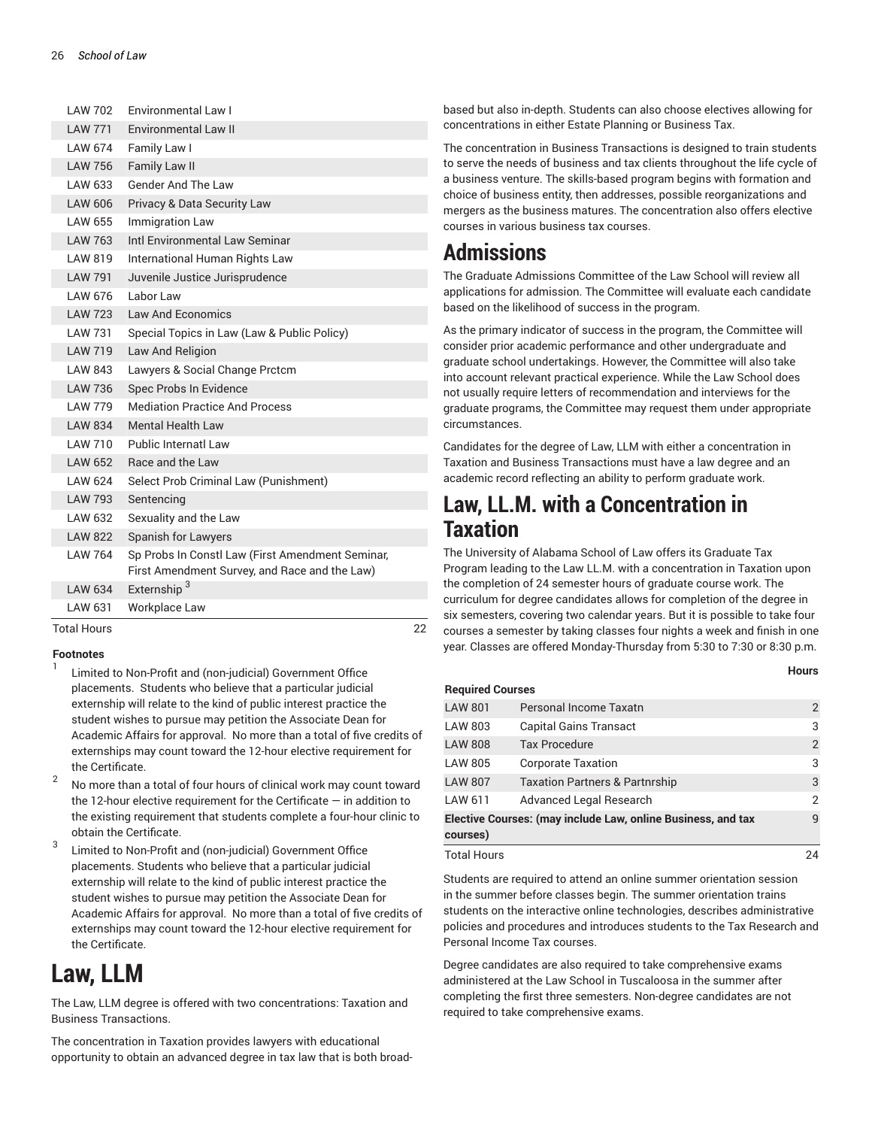| <b>Fnvironmental Law II</b><br><b>LAW 771</b><br>LAW 674<br>Family Law I<br><b>Family Law II</b><br><b>LAW 756</b><br><b>Gender And The Law</b><br>LAW 633<br>LAW 606<br>Privacy & Data Security Law<br><b>LAW 655</b><br><b>Immigration Law</b><br>Intl Environmental Law Seminar<br>LAW 763<br>LAW 819<br>International Human Rights Law<br><b>LAW 791</b><br>Juvenile Justice Jurisprudence<br>LAW 676<br>Labor Law<br>LAW 723<br>Law And Economics<br><b>LAW 731</b><br>Special Topics in Law (Law & Public Policy)<br><b>LAW 719</b><br>Law And Religion<br>LAW 843<br>Lawyers & Social Change Prctcm<br><b>LAW 736</b><br>Spec Probs In Evidence<br><b>Mediation Practice And Process</b><br><b>LAW 779</b><br><b>Mental Health Law</b><br>LAW 834<br>Public Internatl Law<br>LAW 710<br>Race and the Law<br>LAW 652<br>LAW 624<br>Select Prob Criminal Law (Punishment)<br><b>LAW 793</b><br>Sentencing<br>LAW 632<br>Sexuality and the Law<br><b>LAW 822</b><br><b>Spanish for Lawyers</b><br>Sp Probs In Constl Law (First Amendment Seminar,<br><b>LAW 764</b><br>First Amendment Survey, and Race and the Law)<br>Externship <sup>3</sup><br>LAW 634<br>Workplace Law<br>LAW 631 | <b>LAW 702</b> | Environmental Law I |
|---------------------------------------------------------------------------------------------------------------------------------------------------------------------------------------------------------------------------------------------------------------------------------------------------------------------------------------------------------------------------------------------------------------------------------------------------------------------------------------------------------------------------------------------------------------------------------------------------------------------------------------------------------------------------------------------------------------------------------------------------------------------------------------------------------------------------------------------------------------------------------------------------------------------------------------------------------------------------------------------------------------------------------------------------------------------------------------------------------------------------------------------------------------------------------------------|----------------|---------------------|
|                                                                                                                                                                                                                                                                                                                                                                                                                                                                                                                                                                                                                                                                                                                                                                                                                                                                                                                                                                                                                                                                                                                                                                                             |                |                     |
|                                                                                                                                                                                                                                                                                                                                                                                                                                                                                                                                                                                                                                                                                                                                                                                                                                                                                                                                                                                                                                                                                                                                                                                             |                |                     |
|                                                                                                                                                                                                                                                                                                                                                                                                                                                                                                                                                                                                                                                                                                                                                                                                                                                                                                                                                                                                                                                                                                                                                                                             |                |                     |
|                                                                                                                                                                                                                                                                                                                                                                                                                                                                                                                                                                                                                                                                                                                                                                                                                                                                                                                                                                                                                                                                                                                                                                                             |                |                     |
|                                                                                                                                                                                                                                                                                                                                                                                                                                                                                                                                                                                                                                                                                                                                                                                                                                                                                                                                                                                                                                                                                                                                                                                             |                |                     |
|                                                                                                                                                                                                                                                                                                                                                                                                                                                                                                                                                                                                                                                                                                                                                                                                                                                                                                                                                                                                                                                                                                                                                                                             |                |                     |
|                                                                                                                                                                                                                                                                                                                                                                                                                                                                                                                                                                                                                                                                                                                                                                                                                                                                                                                                                                                                                                                                                                                                                                                             |                |                     |
|                                                                                                                                                                                                                                                                                                                                                                                                                                                                                                                                                                                                                                                                                                                                                                                                                                                                                                                                                                                                                                                                                                                                                                                             |                |                     |
|                                                                                                                                                                                                                                                                                                                                                                                                                                                                                                                                                                                                                                                                                                                                                                                                                                                                                                                                                                                                                                                                                                                                                                                             |                |                     |
|                                                                                                                                                                                                                                                                                                                                                                                                                                                                                                                                                                                                                                                                                                                                                                                                                                                                                                                                                                                                                                                                                                                                                                                             |                |                     |
|                                                                                                                                                                                                                                                                                                                                                                                                                                                                                                                                                                                                                                                                                                                                                                                                                                                                                                                                                                                                                                                                                                                                                                                             |                |                     |
|                                                                                                                                                                                                                                                                                                                                                                                                                                                                                                                                                                                                                                                                                                                                                                                                                                                                                                                                                                                                                                                                                                                                                                                             |                |                     |
|                                                                                                                                                                                                                                                                                                                                                                                                                                                                                                                                                                                                                                                                                                                                                                                                                                                                                                                                                                                                                                                                                                                                                                                             |                |                     |
|                                                                                                                                                                                                                                                                                                                                                                                                                                                                                                                                                                                                                                                                                                                                                                                                                                                                                                                                                                                                                                                                                                                                                                                             |                |                     |
|                                                                                                                                                                                                                                                                                                                                                                                                                                                                                                                                                                                                                                                                                                                                                                                                                                                                                                                                                                                                                                                                                                                                                                                             |                |                     |
|                                                                                                                                                                                                                                                                                                                                                                                                                                                                                                                                                                                                                                                                                                                                                                                                                                                                                                                                                                                                                                                                                                                                                                                             |                |                     |
|                                                                                                                                                                                                                                                                                                                                                                                                                                                                                                                                                                                                                                                                                                                                                                                                                                                                                                                                                                                                                                                                                                                                                                                             |                |                     |
|                                                                                                                                                                                                                                                                                                                                                                                                                                                                                                                                                                                                                                                                                                                                                                                                                                                                                                                                                                                                                                                                                                                                                                                             |                |                     |
|                                                                                                                                                                                                                                                                                                                                                                                                                                                                                                                                                                                                                                                                                                                                                                                                                                                                                                                                                                                                                                                                                                                                                                                             |                |                     |
|                                                                                                                                                                                                                                                                                                                                                                                                                                                                                                                                                                                                                                                                                                                                                                                                                                                                                                                                                                                                                                                                                                                                                                                             |                |                     |
|                                                                                                                                                                                                                                                                                                                                                                                                                                                                                                                                                                                                                                                                                                                                                                                                                                                                                                                                                                                                                                                                                                                                                                                             |                |                     |
|                                                                                                                                                                                                                                                                                                                                                                                                                                                                                                                                                                                                                                                                                                                                                                                                                                                                                                                                                                                                                                                                                                                                                                                             |                |                     |
|                                                                                                                                                                                                                                                                                                                                                                                                                                                                                                                                                                                                                                                                                                                                                                                                                                                                                                                                                                                                                                                                                                                                                                                             |                |                     |
|                                                                                                                                                                                                                                                                                                                                                                                                                                                                                                                                                                                                                                                                                                                                                                                                                                                                                                                                                                                                                                                                                                                                                                                             |                |                     |
|                                                                                                                                                                                                                                                                                                                                                                                                                                                                                                                                                                                                                                                                                                                                                                                                                                                                                                                                                                                                                                                                                                                                                                                             |                |                     |
|                                                                                                                                                                                                                                                                                                                                                                                                                                                                                                                                                                                                                                                                                                                                                                                                                                                                                                                                                                                                                                                                                                                                                                                             |                |                     |

Total Hours 22

## **Footnotes**

1

- Limited to Non-Profit and (non-judicial) Government Office placements. Students who believe that a particular judicial externship will relate to the kind of public interest practice the student wishes to pursue may petition the Associate Dean for Academic Affairs for approval. No more than a total of five credits of externships may count toward the 12-hour elective requirement for the Certificate.
- 2 No more than a total of four hours of clinical work may count toward the 12-hour elective requirement for the Certificate  $-$  in addition to the existing requirement that students complete a four-hour clinic to obtain the Certificate.
- 3 Limited to Non-Profit and (non-judicial) Government Office placements. Students who believe that a particular judicial externship will relate to the kind of public interest practice the student wishes to pursue may petition the Associate Dean for Academic Affairs for approval. No more than a total of five credits of externships may count toward the 12-hour elective requirement for the Certificate.

# **Law, LLM**

<span id="page-25-0"></span>The Law, LLM degree is offered with two concentrations: Taxation and Business Transactions.

The concentration in Taxation provides lawyers with educational opportunity to obtain an advanced degree in tax law that is both broad-

based but also in-depth. Students can also choose electives allowing for concentrations in either Estate Planning or Business Tax.

The concentration in Business Transactions is designed to train students to serve the needs of business and tax clients throughout the life cycle of a business venture. The skills-based program begins with formation and choice of business entity, then addresses, possible reorganizations and mergers as the business matures. The concentration also offers elective courses in various business tax courses.

# **Admissions**

The Graduate Admissions Committee of the Law School will review all applications for admission. The Committee will evaluate each candidate based on the likelihood of success in the program.

As the primary indicator of success in the program, the Committee will consider prior academic performance and other undergraduate and graduate school undertakings. However, the Committee will also take into account relevant practical experience. While the Law School does not usually require letters of recommendation and interviews for the graduate programs, the Committee may request them under appropriate circumstances.

Candidates for the degree of Law, LLM with either a concentration in Taxation and Business Transactions must have a law degree and an academic record reflecting an ability to perform graduate work.

# **Law, LL.M. with a Concentration in Taxation**

The University of Alabama School of Law offers its Graduate Tax Program leading to the Law LL.M. with a concentration in Taxation upon the completion of 24 semester hours of graduate course work. The curriculum for degree candidates allows for completion of the degree in six semesters, covering two calendar years. But it is possible to take four courses a semester by taking classes four nights a week and finish in one year. Classes are offered Monday-Thursday from 5:30 to 7:30 or 8:30 p.m.

|                                                                          |                                           | <b>Hours</b>   |
|--------------------------------------------------------------------------|-------------------------------------------|----------------|
| <b>Required Courses</b>                                                  |                                           |                |
| <b>LAW 801</b>                                                           | Personal Income Taxatn                    | $\overline{2}$ |
| <b>LAW 803</b>                                                           | <b>Capital Gains Transact</b>             | 3              |
| <b>LAW 808</b>                                                           | <b>Tax Procedure</b>                      | 2              |
| <b>LAW 805</b>                                                           | <b>Corporate Taxation</b>                 | 3              |
| <b>LAW 807</b>                                                           | <b>Taxation Partners &amp; Partnrship</b> | 3              |
| LAW 611                                                                  | Advanced Legal Research                   | 2              |
| Elective Courses: (may include Law, online Business, and tax<br>courses) |                                           | $\mathsf{q}$   |
| Total Hours                                                              |                                           | 24             |

Students are required to attend an online summer orientation session in the summer before classes begin. The summer orientation trains students on the interactive online technologies, describes administrative policies and procedures and introduces students to the Tax Research and Personal Income Tax courses.

Degree candidates are also required to take comprehensive exams administered at the Law School in Tuscaloosa in the summer after completing the first three semesters. Non-degree candidates are not required to take comprehensive exams.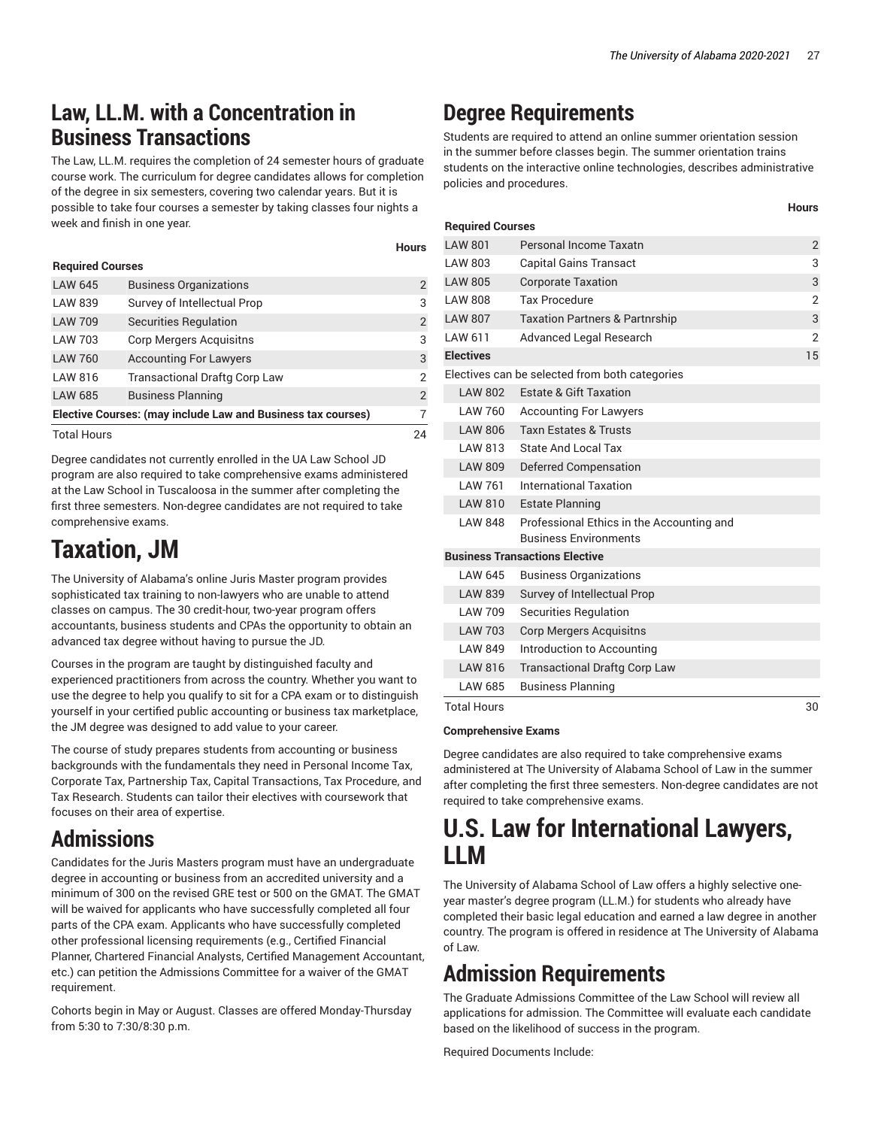**Hours**

# **Law, LL.M. with a Concentration in Business Transactions**

The Law, LL.M. requires the completion of 24 semester hours of graduate course work. The curriculum for degree candidates allows for completion of the degree in six semesters, covering two calendar years. But it is possible to take four courses a semester by taking classes four nights a week and finish in one year.

# **Required Courses**

| <b>LAW 645</b>                                               | <b>Business Organizations</b>        | $\overline{2}$ |
|--------------------------------------------------------------|--------------------------------------|----------------|
| <b>LAW 839</b>                                               | Survey of Intellectual Prop          | 3              |
| <b>LAW 709</b>                                               | <b>Securities Regulation</b>         | $\overline{2}$ |
| LAW 703                                                      | <b>Corp Mergers Acquisitns</b>       | 3              |
| <b>LAW 760</b>                                               | <b>Accounting For Lawyers</b>        | 3              |
| LAW 816                                                      | <b>Transactional Draftg Corp Law</b> | $\mathcal{P}$  |
| <b>LAW 685</b>                                               | <b>Business Planning</b>             | $\overline{2}$ |
| Elective Courses: (may include Law and Business tax courses) |                                      |                |
| <b>Total Hours</b>                                           |                                      | 24             |

Degree candidates not currently enrolled in the UA Law School JD program are also required to take comprehensive exams administered at the Law School in Tuscaloosa in the summer after completing the first three semesters. Non-degree candidates are not required to take comprehensive exams.

# **Taxation, JM**

<span id="page-26-0"></span>The University of Alabama's online Juris Master program provides sophisticated tax training to non-lawyers who are unable to attend classes on campus. The 30 credit-hour, two-year program offers accountants, business students and CPAs the opportunity to obtain an advanced tax degree without having to pursue the JD.

Courses in the program are taught by distinguished faculty and experienced practitioners from across the country. Whether you want to use the degree to help you qualify to sit for a CPA exam or to distinguish yourself in your certified public accounting or business tax marketplace, the JM degree was designed to add value to your career.

The course of study prepares students from accounting or business backgrounds with the fundamentals they need in Personal Income Tax, Corporate Tax, Partnership Tax, Capital Transactions, Tax Procedure, and Tax Research. Students can tailor their electives with coursework that focuses on their area of expertise.

# **Admissions**

Candidates for the Juris Masters program must have an undergraduate degree in accounting or business from an accredited university and a minimum of 300 on the revised GRE test or 500 on the GMAT. The GMAT will be waived for applicants who have successfully completed all four parts of the CPA exam. Applicants who have successfully completed other professional licensing requirements (e.g., Certified Financial Planner, Chartered Financial Analysts, Certified Management Accountant, etc.) can petition the Admissions Committee for a waiver of the GMAT requirement.

Cohorts begin in May or August. Classes are offered Monday-Thursday from 5:30 to 7:30/8:30 p.m.

# **Degree Requirements**

**Hours**

Students are required to attend an online summer orientation session in the summer before classes begin. The summer orientation trains students on the interactive online technologies, describes administrative policies and procedures.

| <b>Required Courses</b> |                                                                           |                |
|-------------------------|---------------------------------------------------------------------------|----------------|
|                         | Personal Income Taxatn                                                    |                |
| <b>LAW 801</b>          |                                                                           | $\overline{2}$ |
| LAW 803                 | <b>Capital Gains Transact</b>                                             | 3              |
| <b>LAW 805</b>          | <b>Corporate Taxation</b>                                                 | 3              |
| <b>LAW 808</b>          | <b>Tax Procedure</b>                                                      | $\overline{2}$ |
| <b>LAW 807</b>          | <b>Taxation Partners &amp; Partnrship</b>                                 | 3              |
| LAW 611                 | <b>Advanced Legal Research</b>                                            | $\overline{2}$ |
| <b>Electives</b>        |                                                                           | 15             |
|                         | Electives can be selected from both categories                            |                |
| <b>LAW 802</b>          | <b>Estate &amp; Gift Taxation</b>                                         |                |
| LAW 760                 | <b>Accounting For Lawyers</b>                                             |                |
| <b>LAW 806</b>          | <b>Taxn Estates &amp; Trusts</b>                                          |                |
| LAW 813                 | State And Local Tax                                                       |                |
| <b>LAW 809</b>          | <b>Deferred Compensation</b>                                              |                |
| <b>LAW 761</b>          | <b>International Taxation</b>                                             |                |
| LAW 810                 | <b>Estate Planning</b>                                                    |                |
| <b>LAW 848</b>          | Professional Ethics in the Accounting and<br><b>Business Environments</b> |                |
|                         | <b>Business Transactions Elective</b>                                     |                |
|                         |                                                                           |                |
| I AW 645                | <b>Business Organizations</b>                                             |                |
| <b>LAW 839</b>          | Survey of Intellectual Prop                                               |                |
| <b>LAW 709</b>          | <b>Securities Regulation</b>                                              |                |
| <b>LAW 703</b>          | <b>Corp Mergers Acquisitns</b>                                            |                |
| <b>LAW 849</b>          | Introduction to Accounting                                                |                |
| <b>LAW 816</b>          | <b>Transactional Draftg Corp Law</b>                                      |                |
| LAW 685                 | <b>Business Planning</b>                                                  |                |
| <b>Total Hours</b>      |                                                                           | 30             |

# **Comprehensive Exams**

Degree candidates are also required to take comprehensive exams administered at The University of Alabama School of Law in the summer after completing the first three semesters. Non-degree candidates are not required to take comprehensive exams.

# **U.S. Law for International Lawyers, LLM**

<span id="page-26-1"></span>The University of Alabama School of Law offers a highly selective oneyear master's degree program (LL.M.) for students who already have completed their basic legal education and earned a law degree in another country. The program is offered in residence at The University of Alabama of Law.

# **Admission Requirements**

The Graduate Admissions Committee of the Law School will review all applications for admission. The Committee will evaluate each candidate based on the likelihood of success in the program.

Required Documents Include: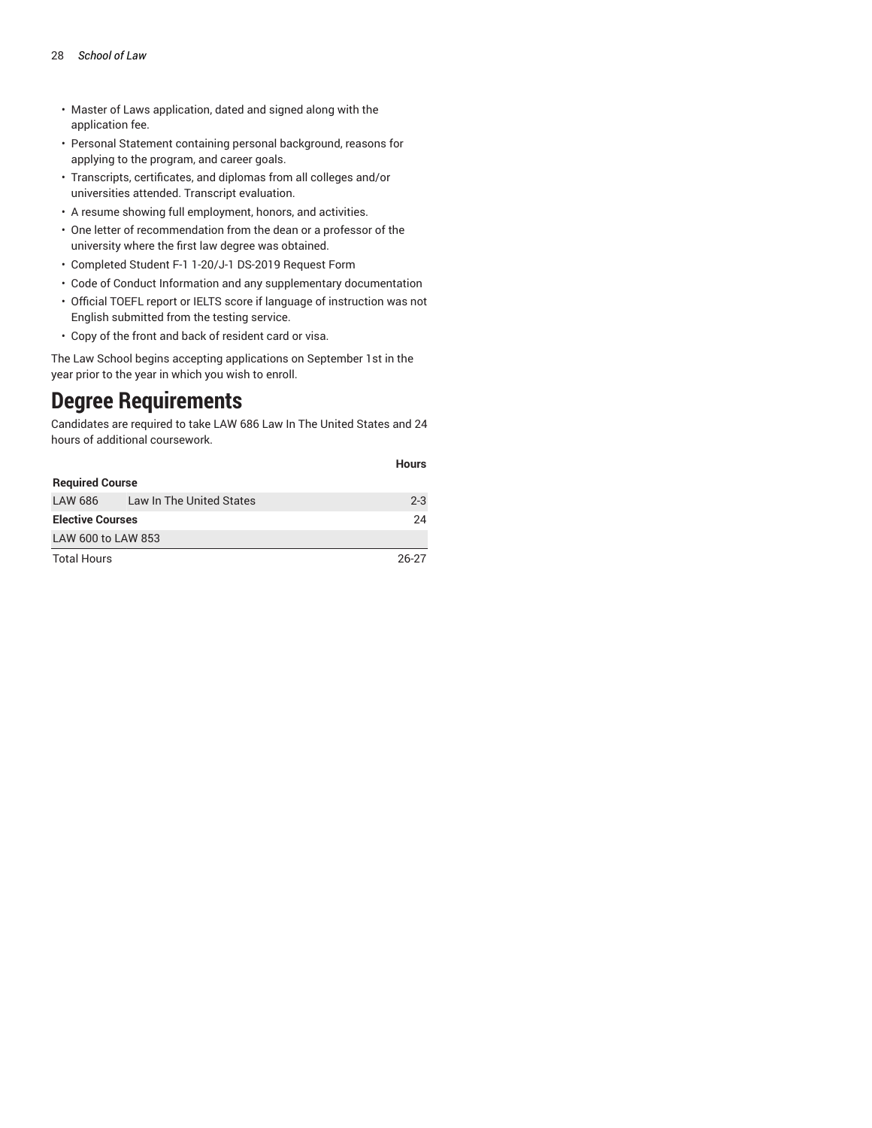- Master of Laws application, dated and signed along with the application fee.
- Personal Statement containing personal background, reasons for applying to the program, and career goals.
- Transcripts, certificates, and diplomas from all colleges and/or universities attended. Transcript evaluation.
- A resume showing full employment, honors, and activities.
- One letter of recommendation from the dean or a professor of the university where the first law degree was obtained.
- Completed Student F-1 1-20/J-1 DS-2019 Request Form
- Code of Conduct Information and any supplementary documentation
- Official TOEFL report or IELTS score if language of instruction was not English submitted from the testing service.
- Copy of the front and back of resident card or visa.

The Law School begins accepting applications on September 1st in the year prior to the year in which you wish to enroll.

# **Degree Requirements**

Candidates are required to take [LAW](/search/?P=LAW%20686/) 686 Law In The United States and 24 hours of additional coursework.

|                         |                          | <b>Hours</b> |
|-------------------------|--------------------------|--------------|
| <b>Required Course</b>  |                          |              |
| LAW 686                 | Law In The United States | $2 - 3$      |
| <b>Elective Courses</b> |                          | 24           |
| LAW 600 to LAW 853      |                          |              |
| <b>Total Hours</b>      |                          | $26 - 27$    |